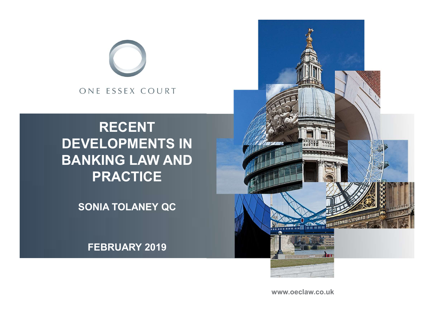

### RECENT DEVELOPMENTS IN BANKING LAW AND PRACTICE

SONIA TOLANEY QC

FEBRUARY 2019



www.oeclaw.co.uk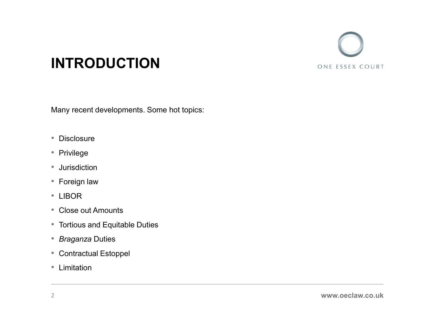

### INTRODUCTION

Many recent developments. Some hot topics:

- Disclosure
- Privilege
- Jurisdiction
- Foreign law
- 
- LIBOR Close out Amounts
- Tortious and Equitable Duties
- Braganza Duties
- Contractual Estoppel Limitation
-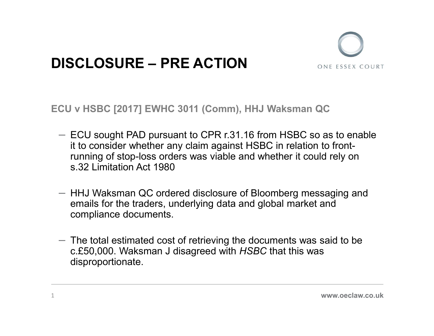

# **DISCLOSURE – PRE ACTION**

ECU v HSBC [2017] EWHC 3011 (Comm), HHJ Waksman QC

- ECU sought PAD pursuant to CPR r.31.16 from HSBC so as to enable it to consider whether any claim against HSBC in relation to frontrunning of stop-loss orders was viable and whether it could rely on s.32 Limitation Act 1980
- HHJ Waksman QC ordered disclosure of Bloomberg messaging and emails for the traders, underlying data and global market and compliance documents.
- $-$  The total estimated cost of retrieving the documents was said to be c.£50,000. Waksman J disagreed with HSBC that this was disproportionate.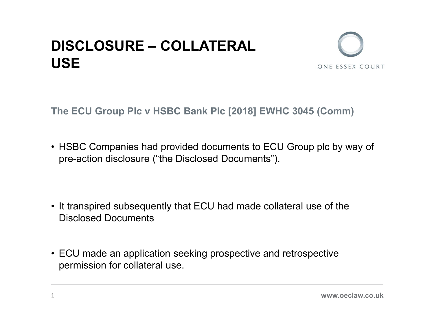# **DISCLOSURE – COLLATERAL**<br>USE USE



- **DISCLOSURE COLLATERAL<br>
USE**<br>
The ECU Group Plc v HSBC Bank Plc [2018] EWHC 3045 (Comm)<br>
 HSBC Companies had provided documents to ECU Group plc by way of<br>
pre-action disclosure ("the Disclosed Documents"). pre-action disclosure ("the Disclosed Documents"). The ECU Group PIc v HSBC Bank PIc [2018] EWHC 3045 (Comm)<br>• HSBC Companies had provided documents to ECU Group pIc by way of<br>pre-action disclosure ("the Disclosed Documents").<br>• It transpired subsequently that ECU had made • HSBC Companies had provided documents to ECU Group plc by way of<br>pre-action disclosure ("the Disclosed Documents").<br>• It transpired subsequently that ECU had made collateral use of the<br>Disclosed Documents<br>• ECU made an a
- Disclosed Documents
- permission for collateral use.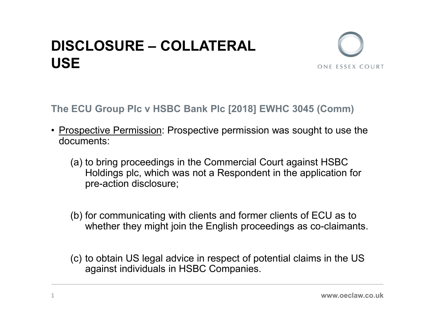# **DISCLOSURE – COLLATERAL**<br>USE USE



- **DISCLOSURE COLLATERAL<br>USE**<br>The ECU Group PIc v HSBC Bank PIc [2018] EWHC 3045 (Comm)<br>• <u>Prospective Permission</u>: Prospective permission was sought to use the<br>documents:<br>(a) to bring proceedings in the Commercial Court a documents:
	- **SCLOSURE COLLATERAL<br>
	E**<br>
	ECU Group Plc v HSBC Bank Plc [2018] EWHC 3045 (Comm)<br> **Spective Permission:** Prospective permission was sought to use the<br>
	cuments:<br>
	(a) to bring proceedings in the Commercial Court against HSB Holdings plc, which was not a Respondent in the application for pre-action disclosure; ECU Group PIc v HSBC Bank PIc [2018] EWHC 3045 (Comm)<br>
	Spective Permission: Prospective permission was sought to use the<br>
	cuments:<br>
	(a) to bring proceedings in the Commercial Court against HSBC<br>
	Holdings plc, which was not Subsective Permission: Prospective permission was sought to use the cuments:<br>
	(a) to bring proceedings in the Commercial Court against HSBC<br>
	Holdings plc, which was not a Respondent in the application for<br>
	pre-action discl
	- whether they might join the English proceedings as co-claimants.
	- against individuals in HSBC Companies.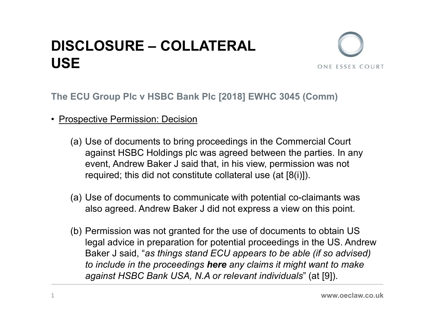### **DISCLOSURE – COLLATERAL**<br>USE USE **DISCLOSURE – COLLATERAL<br>USE**<br>The ECU Group PIc v HSBC Bank PIc [2018] EWHC 304<br>• <u>Prospective Permission: Decision</u><br>(a) Use of documents to bring proceedings in the Con<br>against HSBC Holdings plc was agreed between t



- 
- SCLOSURE COLLATERAL<br>
E<br>
ECU Group PIc v HSBC Bank PIc [2018] EWHC 3045 (Comm)<br>
Sepective Permission: Decision<br>
(a) Use of documents to bring proceedings in the Commercial Court<br>
against HSBC Holdings plc was agreed betwe against HSBC Holdings plc was agreed between the parties. In any event, Andrew Baker J said that, in his view, permission was not required; this did not constitute collateral use (at [8(i)]). **ECU Group PIc v HSBC Bank PIc [2018] EWHC 3045 (Comm)**<br>
Spective Permission: Decision<br>
(a) Use of documents to bring proceedings in the Commercial Court<br>
against HSBC Holdings plc was agreed between the parties. In any<br>
e
	- also agreed. Andrew Baker J did not express a view on this point.
- ECU Group PIc v HSBC Bank PIc [2018] EWHC 3045 (Comm)<br>
spective Permission: Decision<br>
(a) Use of documents to bring proceedings in the Commercial Court<br>
against HSBC Holdings plc was agreed between the parties. In any<br>
ev legal advice in preparation for potential proceedings in the US. Andrew Baker J said, "as things stand ECU appears to be able (if so advised) to include in the proceedings here any claims it might want to make against HSBC Bank USA, N.A or relevant individuals" (at [9]).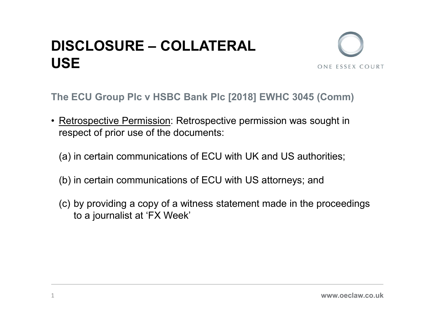### **DISCLOSURE – COLLATERAL**<br>USE USE **DISCLOSURE – COLLATERAL<br>USE**<br>The ECU Group PIc v HSBC Bank PIc [2018] EWHC 3045 (Comm)<br>• <u>Retrospective Permission</u>: Retrospective permission was sought in<br>respect of prior use of the documents:<br>(a) in certain communicati



- respect of prior use of the documents: **ISCLOSURE – COLLATERAL**<br>
SE<br>
The ECU Group PIc v HSBC Bank PIc [2018] EWHC 3045 (Comm)<br>
Retrospective Permission: Retrospective permission was sought in<br>
respect of prior use of the documents:<br>
(a) in certain communicatio **ISCLOSURE – COLLATERAL**<br>
SE<br>
The ECU Group PIc v HSBC Bank PIc [2018] EWHC 3045 (Comm)<br>
Retrospective Permission: Retrospective permission was sought in<br>
respect of prior use of the documents:<br>
(a) in certain communicati
	-
	-
	- ONE ECU Group PIc v HSBC Bank PIc [2018] EWHC 3045 (Comm)<br>
	Retrospective Permission: Retrospective permission was sought in<br>
	respect of prior use of the documents:<br>
	(a) in certain communications of ECU with UK and US autho to a journalist at 'FX Week'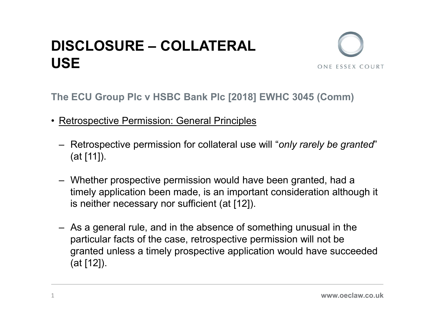### **DISCLOSURE – COLLATERAL**<br>USE USE **DISCLOSURE – COLLATERAL<br>USE**<br>The ECU Group PIc v HSBC Bank PIc [2018] EWHC 3045 (Com<br>• Retrospective Permission: General Principles<br>— Retrospective permission for collateral use will "only rarely be<br>(at [111)



- 
- SE<br>
SE<br>
Retrospective Permission: General Principles<br>
 Retrospective permission: General Principles<br>
 Retrospective permission for collateral use will "only rarely be granted"<br>
(at [11]).<br>
 Whether prospective permissio (at [11]).
- **SE SERVING COLLATERAL**<br>
SE<br>
The ECU Group PIc v HSBC Bank PIc [2018] EWHC 3045 (Comm)<br>
Retrospective Permission: General Principles<br>
 Retrospective permission for collateral use will "*only rarely be granted*"<br>
(at [1 timely application been made, is an important consideration although it is neither necessary nor sufficient (at [12]).
- Fraction Plc v HSBC Bank Plc [2018] EWHC 3045 (Comm)<br>
Retrospective Permission: General Principles<br>
 Retrospective permission for collateral use will "only rarely be granted"<br>
(at [11]).<br>
 Whether prospective permission particular facts of the case, retrospective permission will not be granted unless a timely prospective application would have succeeded (at [12]).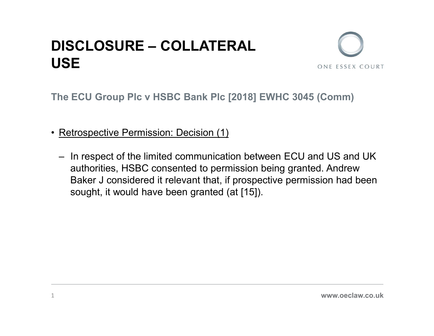## **DISCLOSURE – COLLATERAL**<br>USE USE **DISCLOSURE – COLLATERAL<br>USE**<br>The ECU Group PIc v HSBC Bank PIc [2018] EWHO<br>• <u>Retrospective Permission: Decision (1)</u><br>– In respect of the limited communication between authorities HSBC consented to permission being



- 
- **ISCLOSURE COLLATERAL**<br>
SE<br>
The ECU Group Plc v HSBC Bank Plc [2018] EWHC 3045 (Comm)<br>
Retrospective Permission: Decision (1)<br>
 In respect of the limited communication between ECU and US and UK<br>
authorities, HSBC conse authorities, HSBC consented to permission being granted. Andrew Baker J considered it relevant that, if prospective permission had been sought, it would have been granted (at [15]).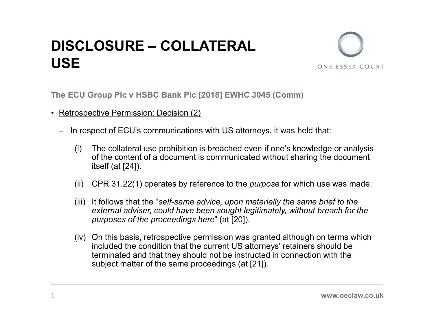### **DISCLOSURE – COLLATERAL**<br>USE USE **DISCLOSURE – COLLATERAL<br>USE**<br>The ECU Group PIc v HSBC Bank PIc [2018] EWHC 30<br>• <u>Retrospective Permission: Decision (2)</u><br>– In respect of ECU's communications with US attorne<br>(i) The collateral use probibition is breached



- -
- VISCLOSURE COLLATERAL<br>
ISE<br>
The ECU Group PIc v HSBC Bank PIc [2018] EWHC 3045 (Comm)<br>
Retrospective Permission: Decision (2)<br>
 In respect of ECU's communications with US attorneys, it was held that:<br>
(i) The collateral **CLOSURE – COLLATERAL**<br>  $\equiv$ <br>
CU Group PIc v HSBC Bank PIc [2018] EWHC 3045 (Comm)<br>
ospective Permission: Decision (2)<br>
In respect of ECU's communications with US attorneys, it was held that:<br>
(i) The collateral use prohi of the content of a document is communicated without sharing the document itself (at [24]). **CLOSURE – COLLATERAL**<br>
CU Group Plc v HSBC Bank Plc [2018] EWHC 3045 (Comm)<br>
ospective Permission: Decision (2)<br>
1 respect of ECU's communications with US attorneys, it was held that:<br>
(i) The collateral use prohibition ONE ESSEX COURT<br>
(CU Group Plc v HSBC Bank Plc [2018] EWHC 3045 (Comm)<br>
(i) sopective Permission: Decision (2)<br>
(i) respect of ECU's communications with US attorneys, it was held that:<br>
(i) The collateral use prohibition i
	-
	- external adviser, could have been sought legitimately, without breach for the purposes of the proceedings here" (at [20]).
	- (i) The collaber of ECU's communications with US attorneys, it was held that:<br>
	(i) The collateral use prohibition is breached even if one's knowledge or analysis<br>
	(i) The collateral use prohibition is breached even if one included the condition that the current US attorneys' retainers should be terminated and that they should not be instructed in connection with the subject matter of the same proceedings (at [21]).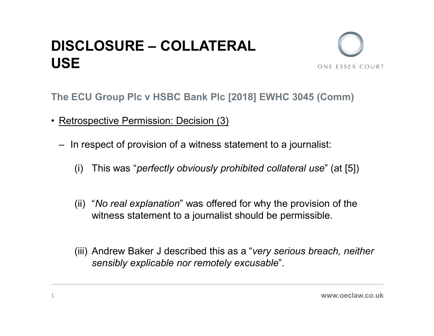### **DISCLOSURE – COLLATERAL**<br>USE USE **DISCLOSURE – COLLATERAL<br>USE**<br>The ECU Group PIc v HSBC Bank PIc [2018] EWHO<br>• <u>Retrospective Permission: Decision (3)</u><br>– In respect of provision of a witness statement to a **ISCLOSURE – COLLATERAL<br>ISE**<br>The ECU Group PIc v HSBC Bank PIc [2018] EWHC 3045 (Comm)<br>Retrospective Permission: Decision (3)<br>- In respect of provision of a witness statement to a journalist:<br>(i) This was "*perfectly obvio* CLOSURE – COLLATERAL<br>
ECU Group Plc v HSBC Bank Plc [2018] EWHC 3045 (Comm)<br>
rospective Permission: Decision (3)<br>
n respect of provision of a witness statement to a journalist:<br>
(i) This was "perfectly obviously prohibited



- - -
- **ECU** Group PIc v HSBC Bank PIc [2018] EWHC 3045 (Comm)<br>
rospective Permission: Decision (3)<br>
n respect of provision of a witness statement to a journalist:<br>
(i) This was "*perfectly obviously prohibited collateral use*" ( witness statement to a journalist should be permissible.
- Frequency Permission: Decision (3)<br>
In respect of provision of a witness statement to a journalist:<br>
(i) This was "*perfectly obviously prohibited collateral use*" (at [5])<br>
(ii) "*No real explanation*" was offered for why sensibly explicable nor remotely excusable".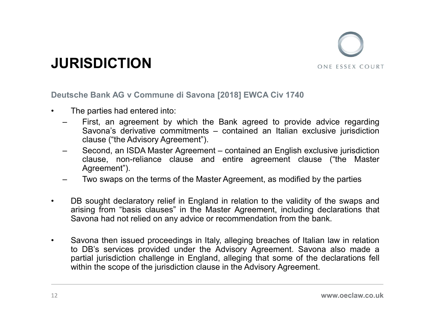

- 
- JURISDICTION<br>
Deutsche Bank AG v Commune di Savona [2018] EWCA Civ 1740<br>
 The parties had entered into:<br>
 First, an agreement by which the Bank agreed to provide advice regarding<br>
Savona's derivative commitments contai **JURISDICTION**<br>
Deutsche Bank AG v Commune di Savona [2018] EWCA Civ 1740<br>
• The parties had entered into:<br>
– First, an agreement by which the Bank agreed to provide advice<br>
Savona's derivative commitments – contained an I **JRISDICTION**<br>
USE ESSEX COURT<br>
USES BANK AG V Commune di Savona [2018] EWCA Civ 1740<br>
The parties had entered into:<br>
- First, an agreement by which the Bank agreed to provide advice regarding<br>
Savona's derivative commitme SDICTION<br>
e Bank AG v Commune di Savona [2018] EWCA Civ 1740<br>
e parties had entered into:<br>
First, an agreement by which the Bank agreed to provide advice regarding<br>
Savona's derivative commitments – contained an Italian ex
	- **SDICTION**<br> **CONTRIGE ADVISOR**<br> **CONTRIGE ADVISOR**<br> **CONTRIGE ADVISOR**<br> **CONTRIGE ADVISOR**<br> **CONTRIGE ADVISOR**<br> **CONTRIGE ADVISOR**<br> **CONTRIGE ADVISORY**<br> **CONTRIGE ADVISORY**<br> **CONTRIGE ADVISORY**<br> **CONTRIGE ADVISORY**<br> **CONTR JRISDICTION**<br>
	UNISONCTION<br>
	UNISONCTION<br>
	The parties had entered into:<br>
	- First, an agreement by which the Bank agreed to provide advice regarding<br>
	Savora's derivative commitments – contained an Italian exclusive jurisdict **SDICTION**<br> **CONTRIGHT AND AND AND AND AND AND AND CONTRIGUARY CONTRIGUARY**<br> **CONTRIGUARY AND PROPERTY AND PROPERTY AND SERVERTY AND SERVANTS derivative commitments — contained an Italian exclusive jurisdiction<br>
	Second, an** Agreement"). **JRISDICTION**<br>
	Usche Bank AG v Commune di Savona [2018] EWCA Civ 1740<br>
	The parties had entered into:<br>
	— First, an agreement by which the Bank agreed to provide advice regarding<br>
	Savona's derivative commitments – contained
	-
- **CONSIGNATION**<br>
 The parties had entered into:<br>
 The parties had entered into:<br>
 First, an agreement by which the Bank agreed to provide advice regarding<br>
Savona's derivative commitments contained an Italian exclusive arising from "basis clauses" in the Master Agreement, including declarations that sche Bank AG v Commune di Savona [2018] EWCA Civ 1740<br>
The parties had entered into:<br>
First, an agreement by which the Bank agreed to provide advice regarding<br>
Savona's derivative commitments – contained an Italian exclusi
- The parties had entered into:<br>
 First, an agreement by which the Bank agreed to provide advice regarding<br>
Savona's derivative commitments contained an Italian exclusive jurisdiction<br>
clause ("the Advisory Agreement"). The parties had entered into:<br>
First, an agreement by which the Bank agreed to provide advice regarding<br>
Savona's derivative commitments – contained an Italian exclusive jurisdiction<br>
clause ("the Advisory Agreement").<br>
Se First, an agreement by which the Bank agreed to provide advice regarding<br>Savona's derivative commitments – contained an Italian exclusive jurisdiction<br>clause ("the Advisory Agreement").<br>Second, an ISDA Master Agreement – c Savona's derivative commitments – contained an Italian exclusive jurisdiction<br>clause ("the Advisory Agreement").<br>Second, an ISDA Master Agreement – contained an English exclusive jurisdiction<br>clause, non-reliance clause an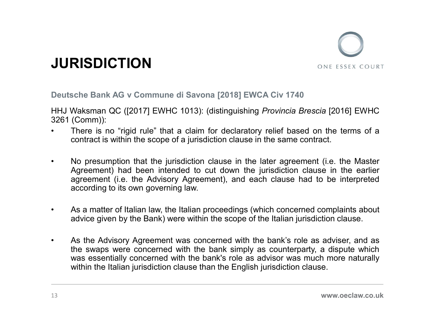

JURISDICTION<br>Deutsche Bank AG v Commune di Savona [2018] EWCA Civ 1740<br>HHJ Waksman QC ([2017] EWHC 1013): (distinguishing *Provincia Brescia* [2016] EWHC<br>Comm)): Development in the analysis of the contract of the same of a **JURISDICTION**<br>Deutsche Bank AG v Commune di Savona [2018] EN<br>HHJ Waksman QC ([2017] EWHC 1013): (distinguishii<br>3261 (Comm)):<br>• There is no "rigid rule" that a claim for declarate<br>contract is within the scope of a jurisdic

- **JURISDICTION**<br>Deutsche Bank AG v Commune di Savona [2018] EWCA Civ 1740<br>HHJ Waksman QC ([2017] EWHC 1013): (distinguishing *Provincia Brescia* [2016] EWHC<br>3261 (Comm)):<br>• There is no "rigid rule" that a claim for declarat **JURISDICTION**<br>
• Deutsche Bank AG v Commune di Savona [2018] EWCA Civ 1740<br>
• HHJ Waksman QC ([2017] EWHC 1013): (distinguishing *Provincia Brescia* [2016] EWHC<br>
• There is no "rigid rule" that a claim for declaratory rel
- contract is within the scope of a jurisdiction clause in the same contract. **FRISDICTION**<br>
• Noutsche Bank AG v Commune di Savona [2018] EWCA Civ 1740<br>
• HHJ Waksman QC ([2017] EWHC 1013): (distinguishing *Provincia Brescia* [2016] EWHC<br>
<sup>3261</sup> (Comm)):<br>
• There is no "rigid rule" that a claim for **RISDICTION**<br>
SCREEM AG V Commune di Savona [2018] EWCA Civ 1740<br>
Waksman QC ([2017] EWHC 1013): (distinguishing *Provincia Brescia* [2016] EWHC<br>
(Comm)):<br>
There is no "rigid rule" that a claim for declaratory relief based **EXENTION SET AT ADVISOR CONTROVER CONTREST AND ADVENTION**<br>
SCREEMENTING AG V COMMUNIC 1013): (distinguishing *Provincia Brescia* [2016] EWHC<br>
(Comm)):<br>
(Comm): There is no "rigid rule" that a claim for declaratory relief **EXENTION EXECTION**<br>
Some EXECTION THE SAMAGE ONE ESSEX C<br>
Some Bank AG v Commune di Savona [2018] EWCA Civ 1740<br>
Waksman QC ([2017] EWHC 1013): (distinguishing *Provincia Brescia* [2016] EV<br>
(Comm)):<br>
There is no "rigid r **• As a matter of Italian law, the Italian proceedings (which concerned complaints about the Italian law, the Italian for declaratory relief based on the terms of a contract is within the scope of a jurisdiction clause in** sche Bank AG v Commune di Savona [2018] EWCA Civ 1740<br>Waksman QC ([2017] EWHC 1013): (distinguishing *Provincia Brescia* [2016] EWHC<br>(Comm)):<br>There is no "rigid rule" that a claim for declaratory relief based on the terms
- 
- HHJ Waksman QC ([2017] EWHC 1013): (distinguishing *Provincia Brescia* [2016] EWHC<br>
3261 (Comm)):<br>
 There is no "rigid rule" that a claim for declaratory relief based on the terms of a<br>
contract is within the scope of a Waksman QC ([2017] EWHC 1013): (distinguishing *Provincia Brescia* [2016] EWHC (Comm)):<br>
(Comm):<br>
(Comm):<br>
There is no "rigid rule" that a claim for declaratory relief based on the terms of a<br>
contract is within the scope (Comm)):<br>There is no "rigid rule" that a claim for declaratory relief based on the terms of a<br>contract is within the scope of a jurisdiction clause in the same contract.<br>No presumption that the jurisdiction clause in the l There is no "rigid rule" that a claim for declaratory relief based on the terms of a contract is within the scope of a jurisdiction clause in the same contract.<br>No presumption that the jurisdiction clause in the later agre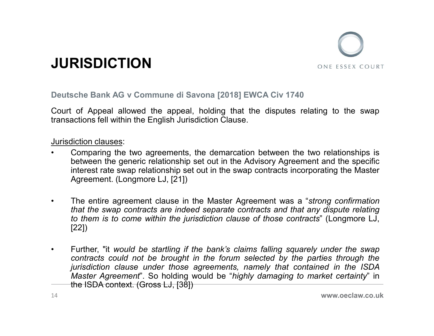

JURISDICTION<br>Deutsche Bank AG v Commune di Savona [2018] EWCA Civ 1740<br>Court of Appeal allowed the appeal, holding that the disputes relating to the swap<br>transactions fell within the English Jurisdiction Clause. JURISDICTION<br>Deutsche Bank AG v Commune di Savona [2018] EWCA Civ 1740<br>Court of Appeal allowed the appeal, holding that the disputes relating to the swap<br>Transactions fell within the English Jurisdiction Clause. **SURISDICTION**<br>
Deutsche Bank AG v Commune di Savona [2018] EWCA Civ 1740<br>
Court of Appeal allowed the appeal, holding that the disputes relating to the swap<br>
transactions fell within the English Jurisdiction Clause.<br>
Juri

- **JURISDICTION**<br>
Deutsche Bank AG v Commune di Savona [2018] EWCA C<br>
Court of Appeal allowed the appeal, holding that the distransactions fell within the English Jurisdiction Clause.<br>
<u>Jurisdiction clauses</u>:<br>
 Comparing th **FIGURIS DICTION**<br>
• Court of Appeal allowed the appeal, holding that the disputes relating to the swap<br>
transactions fell within the English Jurisdiction Clause.<br>
• Comparing the two agreements, the demarcation between th **RISDICTION**<br>
Sche Bank AG v Commune di Savona [2018] EWCA Civ 1740<br>
sche Bank AG v Commune di Savona [2018] EWCA Civ 1740<br>
one sche generic relationship set out in the disputes relating to the swap<br>
diction clauses:<br>
Comp **interest Find Community of the syap relationship set out in the swap reserved allowed the appeal, holding that the disputes relating to the swap actions fell within the English Jurisdiction Clause.<br>
Subserted in the Maste RISDICTION**<br>
Sche Bank AG v Commune di Savona [2018] EWCA Civ 1740<br>
Comparing the displane of Appeal allowed the appeal, holding that the disputes relating to the<br>
Actions fell within the English Jurisdiction Clause.<br>
Act
- **CONSIGTION**<br>
 CONTEXT CONTENDATE DURIES TO THE ESSEN COURT<br>
FORD COURT of Appeal allowed the appeal, holding that the disputes relating to the swap<br>
transactions fell within the English Jurisdiction Clause.<br>
 Comparing that the swap contracts are independent and the swap contracts are independent of Appeal allowed the appeal, holding that the disputes relating to the swap actions fell within the English Jurisdiction Clause.<br>
Sinction cla sche Bank AG v Commune di Savona [2018] EWCA Civ 1740<br>
cof Appeal allowed the appeal, holding that the disputes relating to the swap<br>
actions fell within the English Jurisdiction Clause.<br>
Comparing the two agreements, the [22])
- Court of Appeal allowed the appeal, holding that the disputes relating to the swap<br>
transactions fell within the English Jurisdiction Clause.<br>
<br> **Jurisdiction clauses:**<br>
 Comparing the two agreements, the demarcation betw actions fell within the English Jurisdiction Clause.<br>
Comparing the two agreements, the demarcation between the two relationships is<br>
between the generic relationship set out in the Advisory Agreement and the specific<br>
int diction clauses:<br>Comparing the two agreements, the demarcation between the two relationships is<br>between the generic relationship set out in the Advisory Agreement and the specific<br>interest rate swap relationship set out in diction clauses:<br>
Comparing the two agreements, the demarcation between the two relationships is<br>
between the generic relationship set out in the Advisory Agreement and the specific<br>
interest rate swap relationship set out Incomi clauses.<br>
Comparing the two agreements, the demarcation between the two relations<br>
between the generic relationship set out in the Advisory Agreement and the s<br>
interest rate swap relationship set out in the swap co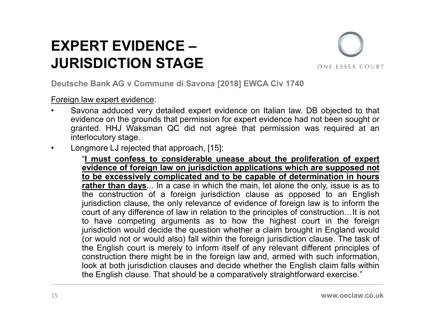### EXPERT EVIDENCE —<br>
JURISDICTION STAGE<br>
Deutsche Bank AG v Commune di Savona [2018] EWCA Civ 1740<br>
Foreign law expert evidence:<br>
• Savona adduced very detailed expert evidence on Italian law. DB objected to that<br>
syidence o EXPERT EVIDENCE – JURISDICTION STAGE



- **EXPERT EVIDENCE –<br>JURISDICTION STAGE**<br>Deutsche Bank AG v Commune di Savona [2018] EWCA Civ 1744<br>Foreign law expert evidence:<br>• Savona adduced very detailed expert evidence on Italian law<br>evidence on the grounds that permi **EXPERT EVIDENCE –**<br> **JURISDICTION STAGE**<br>
Deutsche Bank AG v Commune di Savona [2018] EWCA Civ 1740<br>
Foreign law expert evidence:<br>
• Savona adduced very detailed expert evidence on Italian law. DB objected to that<br>
eviden **PERT EVIDENCE —**<br> **RISDICTION STAGE**<br>
Sche Bank AG v Commune di Savona [2018] EWCA Civ 1740<br>
Savona adduced very detailed expert evidence on Italian law. DB objected to that<br>
granted. HHJ Waksman QC did not agree that per **PERT EVIDENCE —**<br> **RISDICTION STAGE**<br>
Sche Bank AG v Commune di Savona [2018] EWCA Civ 1740<br>
Savona adduced very detailed expert evidence on Italian law. DB objected to that<br>
evidence on the grounds that permission for ex **PERT EVIDENCE —<br>RISDICTION STAGE**<br>sche Bank AG v Commune di Savona [2018] EWCA Civ 174<br>gn law expert evidence:<br>Savona adduced very detailed expert evidence on Italian lay<br>granted. HHJ Waksman QC did not agree that permiss
- 

**EXPERT EVIDENCE —**<br> **SURISDICTION STAGE**<br> **SURISDICTION STAGE**<br> **Surist CONFIGURE:**<br> **Surist Conference** that synder evidence on Italian law. DB objected to that<br>
evidence on the grounds that permission for expert eviden **ERT EVIDENCE –**<br> **SDICTION STAGE**<br> **SOMETHER COMMAND STAGE**<br> **EVIDENCE (SOMET ART COMMAND STAGE)**<br> **EVALUATE:**<br> **EVALUATE:**<br> **EVALUATE:**<br> **EVALUATE:**<br> **EVALUATE:**<br> **EVALUATE:**<br> **EVALUATE:**<br> **EVALUATE:**<br> **EVALUATE:**<br> **EVA ERT EVIDENCE –**<br> **SDICTION STAGE**<br> **SOBICTION STAGE**<br> **SOBIC TO STAGE**<br> **SOBIC TO STAGE**<br> **SOBIC TO STAGE**<br> **SOBIC TO STAGE OF AND AND THE CONSTANT OF AND AND DETERMINE AND ONE IS A SURVEY determination and determination ERT EVIDENCE —**<br> **SDICTION STAGE**<br> **SOME THE MANUAL STAGE**<br> **SOME EXECUTE AND STAGE**<br> **SOME EXECUTE AND STAGE**<br> **SOME THE MANUAL STAGE AND STAGE AND SOME THE MANUAL STAGE AND THE MANUAL STAGE AND THE MANUAL STAGE AND SUR SDICTION STAGE**<br>
SOME ESSEX COURT<br>
DERIGN AG V Commune di Savona [2018] EWCA Civ 1740<br>
Universe expect evidence:<br>
Universe adduced very detailed expert evidence on Italian law. DB objected to that<br>
dence on the grounds th **SDIC TION STAGE**<br>
In the Bank AG v Commune di Savona [2018] EWCA Civ 1740<br>
law expert evidence:<br>
consequence of very detailed expert evidence on Italian law. DB objected to that<br>
dence on the grounds that permission for e is e Bank AG v Commune di Savona [2018] EWCA Civ 1740<br>
is evona adduced very detailed expert evidence on Italian law. DB objected to that<br>
thence on the grounds that permission for expert evidence had not been sought or<br>
i the Bank AG v Commune di Savona [2018] EWCA Civ 1740<br>
law expert evidence:<br>
vona adduced very detailed expert evidence on Italian law. DB objected to that<br>
dence on the grounds that permission for expert evidence had not b Jaw expert evidence:<br>
wona adduced very detailed expert evidence on Italian law. DB objected to that<br>
dence on the grounds that permission for expert evidence had not been sought or<br>
the detailed. HHJ Waksman QC did not ag (a) the experiment evidence:<br>
Solve a adduced very detailed expert evidence on Italian law. DB objected to that<br>
dence on the grounds that permission for expert evidence had not been sought or<br>
nuted. HHJ Waksman QC did no wona adduced very detailed expert evidence on Italian law. DB objected to that<br>dence on the grounds that permission for expert evidence had not been sought or<br>inted. HHJ Waksman QC did not agree that permission was require dence on the grounds that permission for expert evidence had not been sought or<br>erlocutory stage.<br>I HHJ Waksman QC did not agree that permission was required at an<br>refocutory stage.<br>The migrosconstruction of the production Inted. HHJ Waksman QC did not agree that permission was required at an erlocutory stage.<br>
Impore LJ rejected that approach, [15]:<br>
"<u>I must confess to considerable unease about the proliferation of expert<br>
evidence of fore</u> rlocutory stage.<br>
In must confess to considerable unease about the proliferation of expert<br>
"Inust confess to considerable unease about the proliferation of expert<br>
evidence of foreign law on jurisdiction applications whic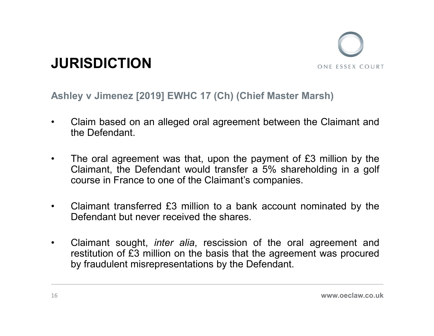

- JURISDICTION<br>Ashley v Jimenez [2019] EWHC 17 (Ch) (Chief Master Marsh)<br>Claim based on an alleged oral agreement between the Claimant and<br>the Defendant **SURISDICTION**<br>Ashley v Jimenez [2019] EWHC 17 (Ch) (Chief Master Marsh)<br>• Claim based on an alleged oral agreement between the Claimant and<br>• The oral agreement was that upon the payment of 63 million by the RISDICTION<br>ley v Jimenez [2019] EWHC 17 (Ch) (Chief<br>Claim based on an alleged oral agreement b<br>the Defendant.<br>The oral agreement was that, upon the pay
- **FIGURE STATE CONTROLL AGTER CONTROLLY AGAINS USE**<br> **Ashley v Jimenez [2019] EWHC 17 (Ch) (Chief Master Marsh)**<br>
 Claim based on an alleged oral agreement between the Claimant and<br>
the Defendant.<br>
 The oral agreement was **CISTION**<br>
Experiment (2019) EWHC 17 (Ch) (Chief Master Marsh)<br>
Claim based on an alleged oral agreement between the Claimant and<br>
the Defendant.<br>
The oral agreement was that, upon the payment of £3 million by the<br>
Claiman **CONTIGN CONTRIGHT CONTRIGHT CONTRIGHT CONTRIGHT CONTRIGHT CONTRIGHT CONTRIGHT CONTRIGHT CONTRIGHT CONTRIGHT CONTRIGHT CONTRIGHT CONTRIGHT CONTRIGHT CONTRIGHT CONTRIGHT CONTRIGHT CONTRIGHT CONTRIGHT CONTRIGHT CONTRIGHT CON** FIFT CHANDIC TICHT CHANDIC 17 (Ch) (Chief Master Marsh)<br>
• Claim based on an alleged oral agreement between the Claimant and<br>
the Defendant.<br>
• The oral agreement was that, upon the payment of £3 million by the<br>
Claimant, ley v Jimenez [2019] EWHC 17 (Ch) (Chief Master Marsh)<br>Claim based on an alleged oral agreement between the Claimant and<br>the Defendant.<br>The oral agreement was that, upon the payment of £3 million by the<br>Claimant, the Defen
- 
- Claim based on an alleged oral agreement between the Claimant and<br>the Defendant.<br>• The oral agreement was that, upon the payment of £3 million by the<br>Claimant, the Defendant would transfer a 5% shareholding in a golf<br>cou Claim based on an alleged oral agreement between the Claimant and<br>the Defendant.<br>The oral agreement was that, upon the payment of £3 million by the<br>Claimant, the Defendant would transfer a 5% shareholding in a golf<br>course Claim based on an alleged oran agreement between the Claimant and<br>the Defendant.<br>The oral agreement was that, upon the payment of £3 million by the<br>Claimant, the Defendant would transfer a 5% shareholding in a golf<br>course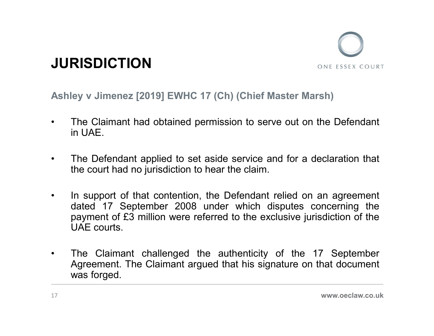

- JURISDICTION<br>Ashley v Jimenez [2019] EWHC 17 (Ch) (Chief Master Marsh)<br>• The Claimant had obtained permission to serve out on the Defendant<br>• in LIAE **JURISDICTION**<br>Ashley v Jimenez [2019] EWHC 17 (Ch) (Chief Master Marsh)<br>• The Claimant had obtained permission to serve out on the Defendant<br>• The Defendant applied to set aside service and for a declaration that RISDICTION<br>ley v Jimenez [2019] EWHC 17 (Ch) (Chie<br>The Claimant had obtained permission to s<br>in UAE.<br>The Defendant applied to set aside service
- **SURISDICTION**<br>
 The Claimant had obtained permission to serve out on the Defendant<br>
 The Defendant applied to set aside service and for a declaration that<br>
 The Defendant applied to set aside service and for a declarat **RISDICTION**<br>they v Jimenez [2019] EWHC 17 (Ch) (Chief Master Marsh)<br>The Claimant had obtained permission to serve out on the Defendant<br>in UAE.<br>The Defendant applied to set aside service and for a declaration that<br>the cour
- **SURISDICTION**<br>
 The Claimant had obtained permission to serve out on the Defendant<br>
in UAE.<br>
 The Defendant applied to set aside service and for a declaration that<br>
the court had no jurisdiction to hear the claim.<br>
 In ONE ESSEX COURT<br>
Let UPINE UPINE 17 (Ch) (Chief Master Marsh)<br>
The Claimant had obtained permission to serve out on the Defendant<br>
in UAE.<br>
The Defendant applied to set aside service and for a declaration that<br>
the court h pay v Jimenez [2019] EWHC 17 (Ch) (Chief Master Marsh)<br>
The Claimant had obtained permission to serve out on the Defendant<br>
in UAE.<br>
The Defendant applied to set aside service and for a declaration that<br>
the court had no j ley v Jimenez [2019] EWHC 17 (Ch) (Chief M<br>The Claimant had obtained permission to servin UAE.<br>The Defendant applied to set aside service a<br>the court had no jurisdiction to hear the claim.<br>In support of that contention, th • The Claimant had obtained permission to serve out on the Defendant<br>
• The Defendant applied to set aside service and for a declaration that<br>
• The Defendant applied to set aside service and for a declaration that<br>
• In s The Claimant had obtained permission to serve out on the Defendant<br>in UAE.<br>The Defendant applied to set aside service and for a declaration that<br>the court had no jurisdiction to hear the claim.<br>In support of that contentio The Defendant applied to set aside service a<br>the court had no jurisdiction to hear the claim.<br>In support of that contention, the Defendant<br>dated 17 September 2008 under which c<br>payment of £3 million were referred to the ex
-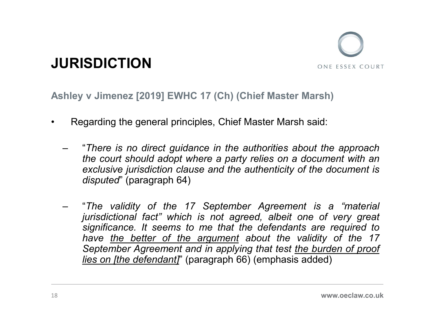

- 
- **JURISDICTION**<br>Ashley v Jimenez [2019] EWHC 17 (Ch) (Chief Master Marsh)<br>• Regarding the general principles, Chief Master Marsh said:<br>- "There is no direct guidance in the authorities about the approach<br>the court should ad **JRISDICTION**<br>
IMPORTION ONE ESSEX COURT<br>
IMPORTION<br>
Regarding the general principles, Chief Master Marsh said:<br>
There is no direct guidance in the authorities about the approach<br>
the court should adopt where a party relie SDICTION<br>
v Jimenez [2019] EWHC 17 (Ch) (Chief Master Marsh)<br>
garding the general principles, Chief Master Marsh said:<br>
"There is no direct guidance in the authorities about the approach<br>
the court should adopt where a par **SDICTION**<br>
v Jimenez [2019] EWHC 17 (Ch) (Chief Master Marsh)<br>
garding the general principles, Chief Master Marsh said:<br>
"There is no direct guidance in the authorities about the approach<br>
the court should adopt where a **SDICTION**<br>
v Jimenez [2019] EWHC 17 (Ch) (Chief Master Marsh)<br>
garding the general principles, Chief Master Marsh said:<br>
"There is no direct guidance in the authorities about the app.<br>
the court should adopt where a party
	- SECTION<br>
	SECTION THE VIRTUAL TERM (CHE AGREE MATSIST)<br>
	Regarding the general principles, Chief Master Marsh said:<br>
	 "There is no direct guidance in the authorities about the approach<br>
	the court should adopt where a party v Jimenez [2019] EWHC 17 (Ch) (Chief Master Marsh)<br>garding the general principles, Chief Master Marsh said:<br>"There is no direct guidance in the authorities about the approach<br>the court should adopt where a party relies on significance [2019] EWHC 17 (Ch) (Chief Master Marsh)<br>
	signarding the general principles, Chief Master Marsh said:<br>
	"There is no direct guidance in the authorities about the approach<br>
	the court should adopt where a party r V simenez [2019] EWHC 17 (Ciff) (Ciffer Master Marsh)<br>garding the general principles, Chief Master Marsh said:<br>"There is no direct guidance in the authorities about the approach<br>exclusive jurisdiction clause and the authen designating the general principles, Chief Master Marsh said:<br>
	"There is no direct guidance in the authorities about the approach<br>
	the court should adopt where a party relies on a document with an<br>
	exclusive jurisdiction cl garding the general principles, Chief Master Marsh said:<br>
	"There is no direct guidance in the authorities about the approach<br>
	the court should adopt where a party relies on a document with an<br>
	exclusive jurisdiction clause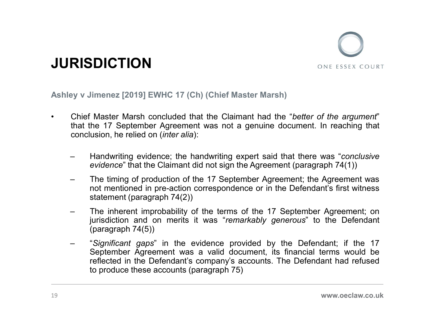![](_page_18_Picture_0.jpeg)

- **JURISDICTION**<br>Ashley v Jimenez [2019] EWHC 17 (Ch) (Chief Master Marsh)<br>Chief Master Marsh concluded that the Claimant had the "better of the argument"<br>that the 17 September Agreement was not a genuine document. In reachi **SURISDICTION**<br>
Ashley v Jimenez [2019] EWHC 17 (Ch) (Chief Master Marsh)<br>
• Chief Master Marsh concluded that the Claimant had the "better of the argument"<br>
that the 17 September Agreement was not a genuine document. In r **CHICTION**<br>that the 17 September 2019 (Chief Master Marsh)<br>Chief Master Marsh concluded that the Claimant had the "better of the argument"<br>that the 17 September Agreement was not a genuine document. In reaching that<br>conclu **CONCISTION**<br>EXECUTED UNITED THE SERVICE 17 (Ch) (Chief Master Marsh)<br>Chief Master Marsh concluded that the Claimant had the "better of the arguit<br>that the 17 September Agreement was not a genuine document. In reaching<br>con FISDICTION<br>
SIMPLET SUNDAY THE SERVICUS ONE ESSEX COURT<br>
SUNDAY USE ESSEX COURT<br>
The f Master Marsh concluded that the Claimant had the "better of the argument"<br>
that the 17 September Agreement was not a genuine document. **SDICTION**<br>
SONE ESSEX COURT<br>
Universe (2019) EWHC 17 (Ch) (Chief Master Marsh)<br>
Sone ESSEX COURT<br>
In Master Marsh concluded that the Claimant had the "better of the argument"<br>
the 17 September Agreement was not a genuine FISDICTION<br>
SOME ESSEX COURT<br>
SOME ESSEX COURT<br>
UNE ESSEX COURT<br>
UNE ESSEX COURT<br>
Chief Master Marsh concluded that the Claimant had the "better of the argument"<br>
that the 17 September Agreement was not a genuine document. **SDICTION**<br>
Innenez [2019] EWHC 17 (Ch) (Chief Master Marsh)<br>
Master Marsh concluded that the Claimant had the "*better of the argument*"<br>
the 17 September Agreement was not a genuine document. In reaching that<br>
usion, he **SDICTION**<br>
Universe [2019] EWHC 17 (Ch) (Chief Master Marsh)<br>
Universe [2019] EWHC 17 (Ch) (Chief Master Marsh)<br>
Master Marsh concluded that the Claimant had the "*better of the an*,<br>
the 17 September Agreement was not a (2019) EWHC 17 (Ch) (Chief Master Marsh)<br>
Chief Master Marsh concluded that the Claimant had the "better of the argument"<br>
that the 17 September Agreement was not a genuine document. In reaching that<br>
conclusion, he relied Jimenez [2019] EWHC 17 (Ch) (Chief Master Marsh)<br>
Master Marsh concluded that the Claimant had the "better of the argument"<br>
the 17 September Agreement was not a genuine document. In reaching that<br>
usion, he relied on *(in* 
	-
	-
	-
	- Iimenez [2019] EWHC 17 (Ch) (Chief Master Marsh)<br>
	Master Marsh concluded that the Claimant had the "*bettel*<br>
	the 17 September Agreement was not a genuine documen<br>
	usion, he relied on *(inter alia*):<br>
	Handwriting evidence; Chief Master Marsh concluded that the Claimant had the "*better of the argument*"<br>that the 17 September Agreement was not a genuine document. In reaching that<br>conclusion, he relied on *(inter alia)*:<br>-<br>- Handwriting evide Master Marsh concluded that the Claimant had the "*better of the argument*"<br>the 17 September Agreement was not a genuine document. In reaching that<br>usion, he relied on *(inter alia)*:<br>Handwriting evidence; the handwriting reflected in the Platerative of the Companyie and the Defendant in the Defendant in the Defendant usion, he relied on *(inter alia)*:<br>
	Handwriting evidence; the handwriting expert said that there was "conclusive<br>
	evidence" The time of the prement was not a general distributed in recoming and<br>usion, he relied on (inter alia):<br>Handwriting evidence; the handwriting expert said that there was "conclusive<br>evidence" that the Claimant did not sign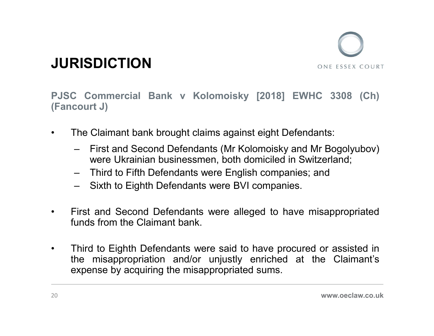![](_page_19_Picture_0.jpeg)

JURISDICTION<br>PJSC Commercial Bank v Kolomoisky [2018] EWHC 3308 (Ch)<br>(Fancourt J)<br>• The Claimant bank brought claims against eight Defendants: **JURISDICTION**<br>PJSC Commercial Bank v Kolomoisky [2018<br>(Fancourt J)<br>• The Claimant bank brought claims against eight **JURISDICTION**<br>
• The Claimant bank brought claims against eight Defendants:<br>
• The Claimant bank brought claims against eight Defendants:<br>
• First and Second Defendants (Mr Kolomoisky and Mr Bogolyubov)<br>
• were Ukrainian Example The Commercial Bank v Kolomoisky [2018] EWHC 3308 (Ch)<br>
Sourt J)<br>
The Claimant bank brought claims against eight Defendants:<br>
- First and Second Defendants (Mr Kolomoisky and Mr Bogolyubov)<br>
were Ukrainian business **SDICTION**<br>
Sommercial Bank v Kolomoisky [2018] EWHC 3308 (Ch)<br>
Claimant bank brought claims against eight Defendants:<br>
First and Second Defendants (Mr Kolomoisky and Mr Bogolyubov)<br>
were Ukrainian businessmen, both domici SUSDICTION<br>
Some Essex Court J)<br>
Commercial Bank v Kolomoisky [2018] EWHC 3308 (Ch)<br>
Chicalinant bank brought claims against eight Defendants:<br>
- First and Second Defendants (Mr Kolomoisky and Mr Bogolyubov)<br>
were Ukrainia **SISDICTION**<br>
Sixthernal Bank v Kolomoisky [2018] EWHC 3308 (Ch)<br>
Sourt J)<br>
The Claimant bank brought claims against eight Defendants:<br>
- First and Second Defendants (Mr Kolomoisky and Mr Bogolyubov)<br>
were Ukrainian busine Fancourt J)<br>
• The Claimant bank brought claims against eight Defendants:<br>
• Tirst and Second Defendants (Mr Kolomoisky and Mr Bogolyubov)<br>
• First and Second Defendants (Mr Kolomoisky and Mr Bogolyubov)<br>
• Third to Fifth C Commercial Bank v Kolomoisky [2018] EWHC 3308<br>
court J)<br>
The Claimant bank brought claims against eight Defendants:<br>
- First and Second Defendants (Mr Kolomoisky and Mr Bogolyu<br>
were Ukrainian businessmen, both domiciled

- -
	-
	-
- 
- The Claimant bank brought claims against eight Defendants:<br>
 First and Second Defendants (Mr Kolomoisky and Mr Bogolyubov)<br>
 were Ukrainian businessmen, both domiciled in Switzerland;<br>
 Third to Fifth Defendants were The Claimant bank brought claims against eight Defendants:<br>
- First and Second Defendants (Mr Kolomoisky and Mr Bogolyubov)<br>
were Ukrainian businessmen, both domiciled in Switzerland;<br>
- Third to Fifth Defendants were Engl The Claimant bank brought claims against eight Defendants:<br>
- First and Second Defendants (Mr Kolomoisky and Mr Bogolyubov)<br>
were Ukrainian businessmen, both domiciled in Switzerland;<br>
- Third to Fifth Defendants were Engl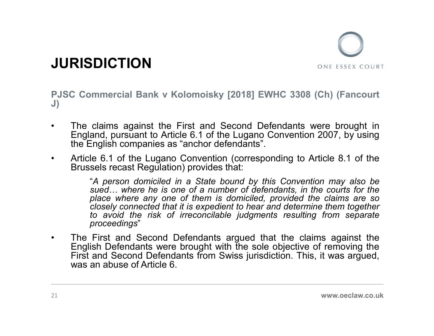![](_page_20_Picture_0.jpeg)

**JURISDICTION**<br>PJSC Commercial Bank v Kolomoisky [2018] EWHC 3308 (Ch) (Fancourt<br>J)<br>The claims against the First and Second Defendants were brought in J)

- **JURISDICTION**<br>
 The claims against the First and Second Defendants were brought in<br>
Fingland, pursuant to Article 6.1 of the Lugano Convention 2007, by using<br>
 The claims against the First and Second Defendants were bro **ENSOICTION**<br>
Commercial Bank v Kolomoisky [2018] EWHC 3308 (Ch) (Fancourt<br>
The claims against the First and Second Defendants were brought in<br>
England, pursuant to Article 6.1 of the Lugano Convention 2007, by using<br>
Arti **RISDICTION**<br>
Commercial Bank v Kolomoisky [2018] EWHC 3308 (Ch) (Fancourt<br>
The claims against the First and Second Defendants were brought in<br>
England, pursuant to Article 6.1 of the Lugano Convention 2007, by using<br>
the **FIGURE CONVERTION**<br>
FISC Commercial Bank v Kolomoisky [2018] EWHC 3308 (Ch) (Fancourt<br>
J)<br>
The claims against the First and Second Defendants were brought in<br>
England, pursuant to Article 6.1 of the Lugano Convention 2007
- 

**RISDICTION**<br>
C Commercial Bank v Kolomoisky [2018] EWHC 3308 (Ch) (Fancourt<br>
The claims against the First and Second Defendants were brought in<br>
England, pursuant to Article 6.1 of the Lugano Convention 2007, by using<br>
th **SDICTION**<br>
Immercial Bank v Kolomoisky [2018] EWHC 3308 (Ch) (Fancourt<br>
claims against the First and Second Defendants were brought in<br>
and, pursuant to Article 6.1 of the Lugano Convention 2007, by using<br>
English compani **SDICTION**<br>
Immercial Bank v Kolomoisky [2018] EWHC 3308 (Ch) (Fancourt<br>
claims against the First and Second Defendants were brought in<br>
and, pursuant to Article 6.1 of the Lugano Convention 2007, by using<br>
finglish compan ONE ESSEX COURT<br>
Immercial Bank v Kolomoisky [2018] EWHC 3308 (Ch) (Fancourt<br>
claims against the First and Second Defendants were brought in<br>
and, pursuant to Article 6.1 of the Lugano Convention 2007, by using<br>
finglish c mmercial Bank v Kolomoisky [2018] EWHC 3308 (Ch) (Fancourt<br>claims against the First and Second Defendants were brought in<br>and, pursuant to Article 6.1 of the Lugano Convention 2007, by using<br>inglish companies as "anchor de **Proceedings**<br>
• The claims against the First and Second Defendants were brought in<br>
England, pursuant to Article 6.1 of the Lugano Convention 2007, by using<br>
the English companies as "anchor defendants".<br>
• Article 6.1 o The claims against the First and Second Defendants were brought in England, pursuant to Article 6.1 of the Lugano Convention 2007, by using the English companies as "anchor defendants".<br>Article 6.1 of the Lugano Convention The claims against the First and Second Defendants were brought in England, pursuant to Article 6.1 of the Lugano Convention 2007, by using the English companies as "anchor defendants".<br>Article 6.1 of the Lugano Convention The claims against the First and Second Defendants were bro<br>England, pursuant to Article 6.1 of the Lugano Convention 2007, b<br>the English companies as "anchor defendants".<br>Article 6.1 of the Lugano Convention (correspondin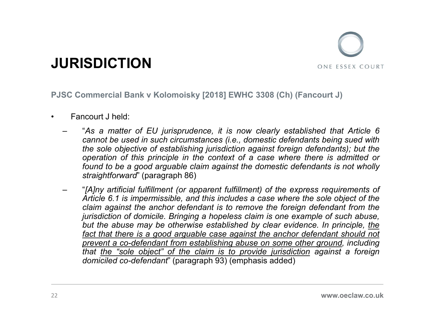![](_page_21_Picture_0.jpeg)

- 
- **JURISDICTION**<br>PJSC Commercial Bank v Kolomoisky [2018] EWHC 3308 (Ch)<br>• Fancourt J held:<br>– "As a matter of EU jurisprudence, it is now clearly es<br>cannot be used in such circumstances (i.e., domestic defi<br>the sole objectiv **JRISDICTION**<br>
SC Commercial Bank v Kolomoisky [2018] EWHC 3308 (Ch) (Fancourt J)<br>
Fancourt J held:<br>
— "As a matter of EU jurisprudence, it is now clearly established that Article 6<br>
cannot be used in such circumstances ( **SDICTION**<br>
SONE ESSEX COURT<br>
DIMETER DRIGHTER ON THE USED INTO THE USED INTO THE USED INTO THE USED IN SAMPLE THE USED IN<br>
The such circumstances (i.e., domestic defendants being sued with<br>
the sole objective of establish **SDICTION**<br>
SOME ESSEX COURT<br>
DIMENTION UNITED SOME EXECUTE ON EXECUTE ON EXECUTE ON THE SOLET A<br>
The sole of EU interpretation against foreign defendants being sued with<br>
the sole objective of establishing jurisdiction ag **SDICTION**<br>
ONE ESSEX COURT<br>
DIMENTION CONTEST ONE CONTROLLED AND COULD USE A CONTROLLED CONTROLLED AND COULD COULD A CASE A matter of EU jurisprudence, it is now clearly established that Article 6<br>
cannot be used in such **SDICTION**<br>
SONE ESSEX COURT<br>
DIRECTION CONTEST ON THE SERVICE STATE ON THE SERVICE ON THE SAME A SAMELY AND NO NOT THE SAME A SAMELY AND HE SAMELY AND THE SAME SHOW THE SUPPORT OF SAME SHOW THE SUPPORT OF SAMELY AND SHOW **SDICTION**<br>
SUNCTION<br>
DETERT AND THE SERVICE STRAIGHT ON THE SERVICE STRAIGHT ON THE SERVICE STRAIGHT AND THE SAMEL THAND THANGE THAN THE SAME SHOW ONLY THE SUPPRESS OF THE SUPPRESS OF SUPPRESS (FR. 1 (paragraph 86)<br>
CALCO Fraction of the express requirements of the express requirement of the express requirement of the cannot be used in such circumstances (i.e., domestic defendants being sued with the sole objective of establishing jurisdict **SDICTION**<br>
SOME ESSEX COURT<br>
SIMPLE THE SOMET IS INTERFORMATION CONTINUES ARE THE SERVICE THE SAM A SURFATH THE SAM AND THE SAM AND THE SCHOOM OF SCHOOM THE SOLED OF SCHOOM THE SOLED OF SOLED IN the sole objective of esta
	- ODIC TICTS<br>
	somewhere the and the anchor defendant is to remove the anchor defined<br>
	"As a matter of EU jurisprudence, it is now clearly established that Article 6<br>
	cannot be used in such circumstances (i.e., domestic defen in mercial Bank v Kolomoisky [2018] EWHC 3308 (Ch) (Fancourt J)<br>
	ncourt J held:<br>
	"As a matter of EU jurisprudence, it is now clearly established that Article 6<br>
	cannot be used in such circumstances (i.e., domestic defendan but the abuse mericial Bank v Kolomoisky [2018] EWHC 3308 (Ch) (Fancourt J)<br>
	acourt J held:<br>
	"As a matter of EU jurisprudence, it is now clearly established that Article 6<br>
	cannot be used in such circumstances (i.e., domes primerical Bank v Kolomoisky [2018] EWHC 3308 (Ch) (Fancourt J)<br>
	ncourt J held:<br>
	"As a matter of EU jurisprudence, it is now clearly established that Article 6<br>
	cannot be used in such circumstances (i.e., domestic defendan ncourt J held:<br>"As a matter of EU jurisprudence, it is now clearly established that Article 6<br>cannot be used in such circumstances (i.e., domestic defendants being sued with<br>the sole objective of establishing jurisdiction ncourt J held:<br>"As a matter of EU jurisprudence, it is now clearly established that Article 6<br>cannot be used in such circumstances (i.e., domestic defendants being sued with<br>the sole objective of establishing jurisdiction be a matter of EU jurisprudence, it is now clearly established that Article 6<br>
	"As a matter of EU jurisprudences (i.e., domestic defendants being sued with<br>
	the sole objective of establishing jurisdiction against foreign d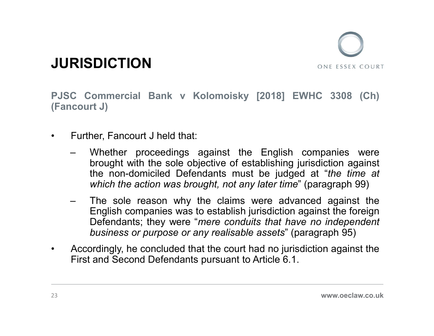![](_page_22_Picture_0.jpeg)

JURISDICTION<br>PJSC Commercial Bank v Kolomoisky [2018] EWHC 3308 (Ch)<br>(Fancourt J) **JURISDICTION**<br>PJSC Commercial Bank v Kolomoisky [2018<br>(Fancourt J)<br>• Further, Fancourt J held that:

- 
- **JURISDICTION**<br>
PJSC Commercial Bank v Kolomoisky [2018] EWHC 3308<br>
(Fancourt J)<br>
 Further, Fancourt J held that:<br>
 Whether proceedings against the English companies<br>
brought with the sole objective of establishing juris **EXEMPTION**<br>
C Commercial Bank v Kolomoisky [2018] EWHC 3308 (Ch)<br>
court J)<br>
Further, Fancourt J held that:<br>
— Whether proceedings against the English companies were<br>
brought with the sole objective of establishing jurisdi **SDICTION**<br>
COMETRIST WITH THE SOLET ONE EXECUTE ONE FOR STREAM COURT<br>
The sole of the sole objective of establishing jurisdiction against<br>
the sole objective of establishing jurisdiction against<br>
the non-dominical Defenda **SDICTION**<br>
Some ESSEX COURT<br>
Commercial Bank v Kolomoisky [2018] EWHC 3308 (Ch)<br>
The non-domiciled that:<br>
Whether proceedings against the English companies were<br>
brought with the sole objective of establishing jurisdictio **SDICTION**<br>
Some ESSEX COURT<br>
Commercial Bank v Kolomoisky [2018] EWHC 3308 (Ch)<br>
The action was brought with the sole objective of establishing jurisdiction against<br>
the non-domiciled Defendants must be judged at "*the ti* **COM SET CONSECT CONSECT ASSECT ASSECT ASSECT ASSECT ASSECT ASSECT CONFIDENT CONFIDENT CONFIDENT CONTO THE SOLED THE SOLED THE sole reason why the claims were divided at "the time at which the action was brought, not any l** Francourt J held that:<br>
Henglish companies were<br>
thenglish companies was to establish in the sole objective of establishing jurisdiction against<br>
the non-domiciled Defendants must be judged at "*the time at*<br>
which the act commercial Bank v Kolomoisky [2018] EWHC 3308 (Ch)<br>
ner, Fancourt J held that:<br>
Whether proceedings against the English companies were<br>
brought with the sole objective of establishing jurisdiction against<br>
the non-domicile commercial Bank v Kolomoisky [2018] EWHC 3308 (Ch)<br>
ort J)<br>
ber, Fancourt J held that:<br>
Whether proceedings against the English companies were<br>
brought with the sole objective of establishing jurisdiction against<br>
the non-• Further, Fancourt J held that:<br>
• Whether proceedings against the English companies were<br>
brought with the sole objective of establishing jurisdiction against<br>
the non-domicied Defendants must be judged at "the time at<br> Further, Fancourt J held that:<br>
— Whether proceedings against the English companies were<br>
brought with the sole objective of establishing jurisdiction against<br>
the non-domiciled Defendants must be judged at "the time at<br>
	-
-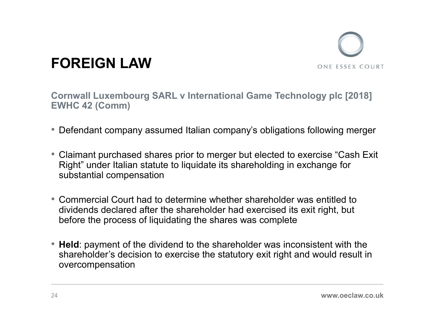![](_page_23_Picture_0.jpeg)

### FOREIGN LAW

Cornwall Luxembourg SARL v International Game Technology plc [2018] EWHC 42 (Comm)

- Defendant company assumed Italian company's obligations following merger
- Claimant purchased shares prior to merger but elected to exercise "Cash Exit Right" under Italian statute to liquidate its shareholding in exchange for substantial compensation
- Commercial Court had to determine whether shareholder was entitled to dividends declared after the shareholder had exercised its exit right, but before the process of liquidating the shares was complete
- Held: payment of the dividend to the shareholder was inconsistent with the shareholder's decision to exercise the statutory exit right and would result in overcompensation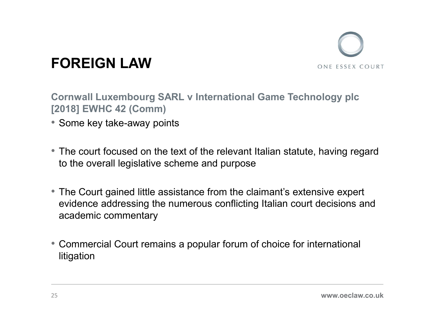![](_page_24_Picture_0.jpeg)

### FOREIGN LAW

Cornwall Luxembourg SARL v International Game Technology plc [2018] EWHC 42 (Comm)

- Some key take-away points
- The court focused on the text of the relevant Italian statute, having regard to the overall legislative scheme and purpose
- The Court gained little assistance from the claimant's extensive expert evidence addressing the numerous conflicting Italian court decisions and academic commentary
- Commercial Court remains a popular forum of choice for international litigation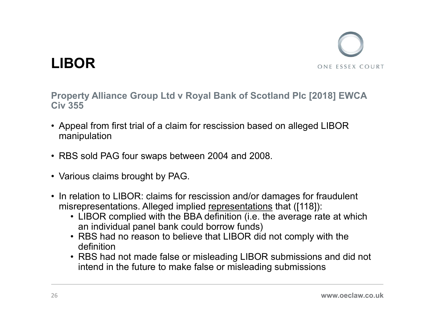![](_page_25_Picture_0.jpeg)

![](_page_25_Picture_1.jpeg)

Property Alliance Group Ltd v Royal Bank of Scotland Plc [2018] EWCA **EXECT FROM STATE CONTROLL CONTROLL CONTROLL CONTROLL CONTROLL CONTROLL CONTROLL CONTROLL CONTROLL CONTROLL CONTROLL CONTROLL CONTROLL CONTROLL CONTROLL CONTROLL CONTROLL CONTROLL CONTROLL CONTROLL CONTROLL CONTROLLY CONTR LIBOR**<br>• Property Alliance Group Ltd ν Royal Bank of Scotland Plc [2018] EWCA<br>• Civ 355<br>• Appeal from first trial of a claim for rescission based on alleged LIBOR<br>• RBS sold PAG four swaps between 2004 and 2008.<br>• Vario mistance Group Ltd v Royal Bank of Scotland Plc [2018] EWCA<br>
iv 355<br>
Appeal from first trial of a claim for rescission based on alleged LIBOR<br>
Manipulation<br>
RBS sold PAG four swaps between 2004 and 2008.<br>
Various claims br

- **LIBOR**<br>Property Alliance Group Ltd v Royal Bank of<br>Civ 355<br>• Appeal from first trial of a claim for rescission<br>manipulation manipulation **LIBOR**<br>• Property Alliance Group Ltd v Royal Bank of Scotland Plc [20<br>• Appeal from first trial of a claim for rescission based on alleged<br>• RBS sold PAG four swaps between 2004 and 2008.<br>• Various claims brought by PAG. **LIBOR**<br>Property Alliance Group Ltd v Royal Bank<br>Civ 355<br>• Appeal from first trial of a claim for rescissio<br>manipulation<br>• RBS sold PAG four swaps between 2004 ar<br>• Various claims brought by PAG.<br>• In relation to LIBOR: cl
- 
- 
- 
- erty Alliance Group Ltd v Royal Bank of Scotland Plc [2018] EWCA<br>555<br>peal from first trial of a claim for rescission based on alleged LIBOR<br>mipulation<br>S sold PAG four swaps between 2004 and 2008.<br>rious claims brought by PA
	- an individual panel bank could borrow funds)<br>• RBS had no reason to believe that LIBOR did not comply with the definition
- erry Alliance Group Ltd V Royal Bank of Scotland Pic [2018] EWCA<br>
Feal from first trial of a claim for rescission based on alleged LIBOR<br>
Inipulation<br>
IS sold PAG four swaps between 2004 and 2008.<br>
Fricus claims brought by peal from first trial of a claim for rescission based on alleged LIBOR<br>mipulation<br>S sold PAG four swaps between 2004 and 2008.<br>rious claims brought by PAG.<br>relation to LIBOR: claims for rescission and/or damages for fraudu intend in the future to make false or misleading submissions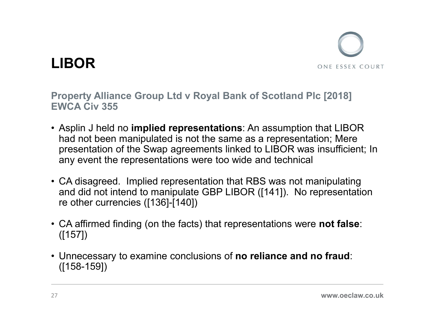![](_page_26_Picture_0.jpeg)

Property Alliance Group Ltd v Royal Bank of Scotland Plc [2018]

- **LIBOR**<br>Property Alliance Group Ltd v Royal Bank of Scot<br>EWCA Civ 355<br>• Asplin J held no i**mplied representations**: An assu<br>had not been manipulated is not the same as a rep **EXECUTE:**<br>• Asplin J held no implied representations: An assumption that LIBOR<br>• Asplin J held no implied representations: An assumption that LIBOR<br>• Mad not been manipulated is not the same as a representation; Mere<br>• pr had not been manipulated is not the same as a representation; Mere presentation of the Swap agreements linked to LIBOR was insufficient; In any event the representations were too wide and technical **LIBOR**<br>
• Property Alliance Group Ltd v Royal Bank of Scotland Plc [2018]<br>
EWCA Civ 355<br>
• Asplin J held no implied representations: An assumption that LIBOR<br>
had not been manipulated is not the same as a representation; Property Alliance Group Ltd v Royal Bank of Scotland Plc [2018]<br>
EWCA Civ 355<br>
• Asplin J held no implied representations: An assumption that LIBOR<br>
had not been manipulated is not the same as a representation; Mere<br>
pres • Asplin J held no implied representations: An assumption that LIBOR<br>had not been manipulated is not the same as a representation; Mere<br>presentation of the Swap agreements linked to LIBOR was insufficient; In<br>any event the
- and did not intend to manipulate GBP LIBOR ([141]). No representation re other currencies ([136]-[140])
- ([157])
- ([158-159])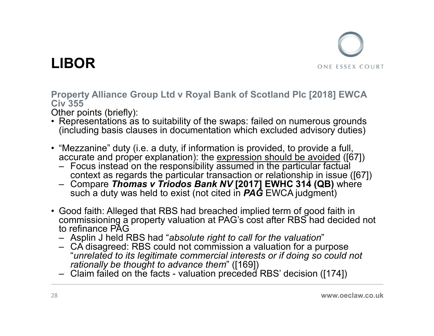![](_page_27_Picture_0.jpeg)

Property Alliance Group Ltd v Royal Bank of Scotland Plc [2018] EWCA **LIBOR**<br>Property Alliance Group Ltd v Royal Bank of<br>Civ 355<br>Other points (briefly):<br>• Representations as to suitability of the swaps:<br>(including basis clauses in documentation whi **LIBOR**<br>
• Property Alliance Group Ltd v Royal Bank of Scotland Plc [2018] EWCA<br>
Civ 355<br>
Other points (briefly):<br>
• Representations as to suitability of the swaps: failed on numerous grounds<br>
• "Mezzanine" duty (i.e. a du **LIBOR**<br>
• Property Alliance Group Ltd v Royal Bank of Scotland Plc [2018] EWCA<br>
Civ 355<br>
Other points (briefly):<br>
• Representations as to suitability of the swaps: failed on numerous grounds<br>
(including basis clauses in d **IBOR**<br>
SOME ISSNET TO THE SERVICE THE SERVICE THE SERVICE THE SERVICE THE SERVICE THE PROPORT REPORTED THE PRESENTATION REPORTED THE PRESENTION (including basis clauses in documentation which excluded advisory duties)<br>
" Framer (GR) We all the responsibility of the swaps: failed on numerous grounds with the roints (briefly):<br>The responsibility of the swaps: failed on numerous grounds (including basis clauses in documentation which excluded Fractional Solution of the sum of the RBS had decided on the comprisoning a property alliance Group Ltd v Royal Bank of Scotland PIc [2018] EWCA<br>tiv 355<br>ther points (briefly):<br>Representations as to suitability of the swaps

- Other points (briefly):<br>• Representations as to suitability of the swaps: failed on numerous grounds (including basis clauses in documentation which excluded advisory duties)
- - Focus instead on the responsibility assumed in the particular factual<br>context as regards the particular transaction or relationship in issue ([67])<br>– Compare *Thomas v Triodos Bank NV* [2017] EWHC 314 (QB) where
	- such a duty was held to exist (not cited in  $P\overline{A}\overline{G}$  EWCA judgment)
- **Property Alliance Group Ltd v Royal Bank of Scotland Plc [2018] EWCA<br>
Cive 755<br>
 Cherpoints (briefly):<br>
 Representations as to suitability of the swaps: failed on numerous grounds<br>
(including basis clauses in documenta** commissioning a property valuation at PAG's cost after RBS had decided not to refinance PAG<br>- Asplin J held RBS had "absolute right to call for the valuation" Figure 2011 of the points (briefly):<br>
We 355<br>
ther points (briefly):<br>
Representations as to suitability of the swaps: failed on numerous grounds<br>
(including basis clauses in documentation which excluded advisory duties)<br>
" (including basis clauses in documentation which excluded advisory duties)<br>
"Mezzanine" duty (i.e. a duty, if information is provided, to provide a full,<br>
accurate and proper explanation): the expression should be avoided
	-
	- rationally be thought to advance them" ([169])<br>- Claim failed on the facts valuation preceded RBS' decision ([174])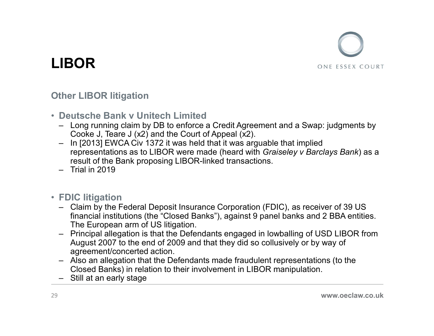![](_page_28_Picture_0.jpeg)

### Other LIBOR litigation

- 
- Deutsche Bank v Unitech Limited<br>— Long running claim by DB to enforce a Credit Agreement and a Swap: judgments by
- FREET CONSIDERT THE CONSIDERT ON THE RELEVANT ON THE SERVICULT ON THE SERVICULT ON THE LONG RUNNING COOKE J, Teare J (x2) and the Court of Appeal (x2),<br>
 In [2013] EWCA Civ 1372 it was held that it was arguable that impli **SOR**<br> **Cookert Standard Standard Standard Standard Standard Standard Standard Standard Standard Scooke J, Teare J (x2) and the Court of Appeal (x2).<br>
In [2013] EWCA Civ 1372 it was held that it was arguable that imprepres IBOR**<br> **CONSTANDING THE CONSTAND ON THE SET AND CONSTAND ONE ESSEX COLUSCAL CONSTAND DEAT**<br> **DEAT COOKE J, Teare J (x2)** and the Court of Appeal (x2).<br>
In [2013] EWCA Civ 1372 it was held that it was arguable that implied **SOR**<br>Free LIBOR litigation<br>Unische Bank v Unitech Limited<br>Long running claim by DB to enforce a Credit Agreement and a Swap: judgments by<br>Cooke J, Teare J (x2) and the Court of Appeal (x2).<br>In [2013] EWCA Civ 1372 it was result of the Bank proposing LIBOR-linked transactions. **IBOR**<br>
ther LIBOR litigation<br>
Deutsche Bank v Unitech Limited<br>
- Long running claim by DB to enforce a Credit Agr<br>
Cooke J, Teare J (x2) and the Court of Appeal (x2<br>
- In [2013] EWCA Civ 1372 it was held that it was a<br>
re From LIBOR Ititigation<br>
Deutsche Bank v Unitech Limited<br>
- Long running claim by DB to enforce a Credit Agreement and a Swap: judgments by<br>
Cooke J, Teare J (x2) and the Court of Appeal (x2).<br>
- In [2013] EWCA Civ 1372 it ther LIBOR litigation<br>
– Long running claim by DB to enforce a Credit Agreement and a Swap: judgments by<br>
Cooke J, Teare J (x2) and the Court of Appeal (x2).<br>
– In [2013] EWCA Civ 1372 it was held that it was arguable that – Long running claim by DB to enforce a Credit Agreement and a Swap: judgments by<br>
– Long running claim by DB to enforce a Credit Agreement and a Swap: judgments by<br>
Cooke J, Teare J (x2) and the Court of Appeal (x2).<br>
In – In [2013] EWCA Civ 1372 it was held that it was representations as to LIBOR were made (heard vesult of the Bank proposing LIBOR-linked transa<br>– Trial in 2019<br>– Trial in 2019<br>– Trial in 2019<br>– Trial in 2019<br>– Trial in 201
	-
- FDIC litigation
	- financial institutions (the "Closed Banks"), against 9 panel banks and 2 BBA entities. The European arm of US litigation.
	- August 2007 to the end of 2009 and that they did so collusively or by way of agreement/concerted action.
	- Closed Banks) in relation to their involvement in LIBOR manipulation.
	-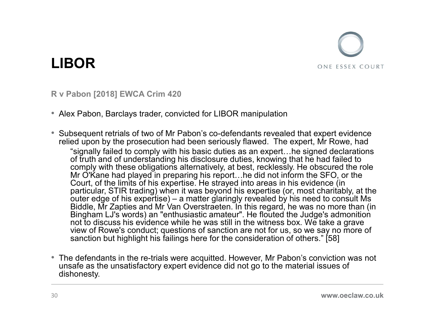![](_page_29_Picture_0.jpeg)

### R v Pabon [2018] EWCA Crim 420

• Alex Pabon, Barclays trader, convicted for LIBOR manipulation

- **LIBOR**<br>• Next Pabon [2018] EWCA Crim 420<br>• Alex Pabon, Barclays trader, convicted for LIBOR manipulation<br>• Subsequent retrials of two of Mr Pabon's co-defendants revealed that expert evidence<br>• relied upon by the prosecut relied upon by the prosecution had been seriously flawed. The expert, Mr Rowe, had "signally failed to comply with his basic duties as an expert…he signed declarations of truth and of understanding his disclosure duties, knowing that he had failed to comply with these obligations alternatively, at best, recklessly. He obscured the role Mr O'Kane had played in preparing his report…he did not inform the SFO, or the Court, of the limits of his expertise. He strayed into areas in his evidence (in particular, STIR trading) when it was beyond his expertise (or, most charitably, at the SOR<br>
Sabon [2018] EWCA Crim 420<br>
X Pabon, Barclays trader, convicted for LIBOR manipulation<br>
Sequent retrials of two of Mr Pabon's co-defendants revealed that expert evidence<br>
ed upon by the prosecution had been seriously ONE ESSEX COURT<br>
Your ESSEX COURT<br>
X Pabon, Barclays trader, convicted for LIBOR manipulation<br>
Seequent retrials of two of Mr Pabon's co-defendants revealed that expert evidence<br>
ed upon by the prosecution had been serious Bingham LJ's words) an "enthusiastic amateur". He flouted the Judge's admonition not to discuss his evidence while he was still in the witness box. We take a grave view of Rowe's conduct; questions of sanction are not for us, so we say no more of sanction but highlight his failings here for the consideration of others." [58]
- The defendants in the re-trials were acquitted. However, Mr Pabon's conviction was not unsafe as the unsatisfactory expert evidence did not go to the material issues of dishonesty.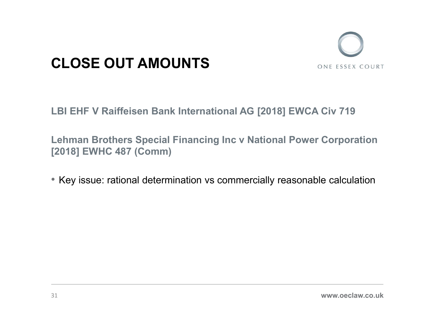![](_page_30_Picture_0.jpeg)

### CLOSE OUT AMOUNTS ONE ESSEX COURT

CLOSE OUT AMOUNTS<br>LBI EHF V Raiffeisen Bank International AG [2018] EWCA Civ 719<br>Lehman Brothers Special Financing Inc v National Power Corporation CLOSE OUT AMOUNTS<br>LBI EHF V Raiffeisen Bank International AG [2018] EWCA Civ 719<br>Lehman Brothers Special Financing Inc v National Power Corporation<br>[2018] EWHC 487 (Comm) [2018] EWHC 487 (Comm)

• Key issue: rational determination vs commercially reasonable calculation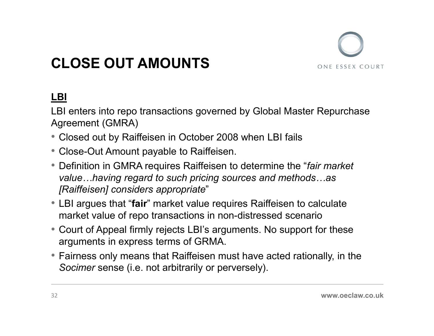![](_page_31_Picture_0.jpeg)

### CLOSE OUT AMOUNTS

### LBI

LBI enters into repo transactions governed by Global Master Repurchase Agreement (GMRA) **CLOSE OUT AMOUNTS**<br> **ERENT CONT AMOUNTS**<br> **ERENT CONT AMOUNTS**<br>
Agreement (GMRA)<br>
• Closed out by Raiffeisen in October 2008 when LBI fails<br>
• Close-Out Amount payable to Raiffeisen.<br>
• Definition in GMRA requires Raiffei

- 
- Close-Out Amount payable to Raiffeisen.
- **CLOSE OUT AMOUNTS**<br> **CLOSE OUT AMOUNTS**<br>
LBI enters into repo transactions governed by Global Master Repurchase<br>
Agreement (GMRA)<br>
 Closed out by Raiffeisen in October 2008 when LBI fails<br>
 Close-Out Amount payable to R value…having regard to such pricing sources and methods…as [Raiffeisen] considers appropriate" **CLUSE UUI AINUUNIS**<br> **LBI**<br> **LBI**<br> **LBI** enters into repo transactions governed by Global Master Repurchase<br>
Agreement (GMRA)<br>
• Closed out by Raiffeisen in October 2008 when LBI fails<br>
• Close-Out Amount payable to Raif Fairmet (GMRA)<br>
• Glosed out by Raiffeisen in October 2008 when LBI fails<br>
• Closed out by Raiffeisen in October 2008 when LBI fails<br>
• Close-Out Amount payable to Raiffeisen.<br>
• Definition in GMRA requires Raiffeisen to d
- market value of repo transactions in non-distressed scenario
- Court of Appeal firmly rejects LBI's arguments. No support for these arguments in express terms of GRMA.
- Socimer sense (i.e. not arbitrarily or perversely).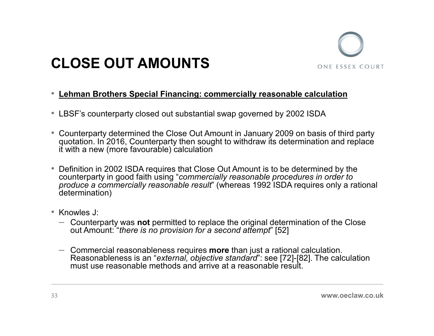![](_page_32_Picture_0.jpeg)

### CLOSE OUT AMOUNTS

### • Lehman Brothers Special Financing: commercially reasonable calculation

- LBSF's counterparty closed out substantial swap governed by 2002 ISDA
- Counterparty determined the Close Out Amount in January 2009 on basis of third party quotation. In 2016, Counterparty then sought to withdraw its determination and replace it with a new (more favourable) calculation
- Definition in 2002 ISDA requires that Close Out Amount is to be determined by the counterparty in good faith using "commercially reasonable procedures in order to produce a commercially reasonable result" (whereas 1992 ISDA requires only a rational determination)
- Knowles J:
	- $-$  Counterparty was not permitted to replace the original determination of the Close out Amount: "there is no provision for a second attempt" [52]
	- $-$  Commercial reasonableness requires **more** than just a rational calculation. Reasonableness is an "external, objective standard": see [72]-[82]. The calculation must use reasonable methods and arrive at a reasonable result.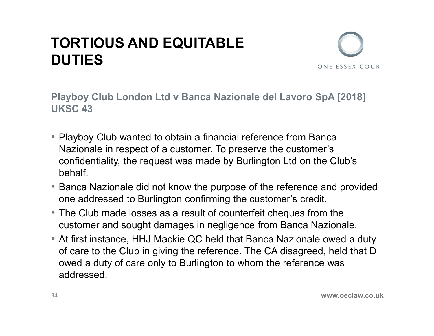### TORTIOUS AND EQUITABLE **DUTIES**

![](_page_33_Picture_1.jpeg)

TORTIOUS AND EQUITABLE<br>DUTIES<br>Playboy Club London Ltd v Banca Nazionale del Lavoro SpA [2018]<br>UKSC 43 UKSC 43

- Playboy Club wanted to obtain a financial reference from Banca **ORTIOUS AND EQUITABLE**<br>
NUTIES<br>
In the stars course of a customer. To preserve the customer's<br>
Nazionale in respect of a customer. To preserve the customer's<br>
confidentiality, the request was made by Burlington Ltd on the **CORTIOUS AND EQUITABLE**<br> **CONFIDES**<br>
Intervalso Club London Ltd v Banca Nazionale del Lavoro SpA [2018]<br>
KSC 43<br>
Playboy Club wanted to obtain a financial reference from Banca<br>
Nazionale in respect of a customer. To prese behalf. **DUTIES**<br>• Playboy Club London Ltd v Banca Nazionale del Lavoro SpA [2018]<br>UKSC 43<br>• Playboy Club wanted to obtain a financial reference from Banca<br>• Nazionale in respect of a customer. To preserve the customer's<br>confident layboy Club London Ltd v Banca Nazionale del Lavoro SpA [2018]<br>KSC 43<br>Playboy Club wanted to obtain a financial reference from Banca<br>Nazionale in respect of a customer. To preserve the customer's<br>confidentiality, the reque Playboy Club London Ltd v Banca Nazionale der Lavoro SpA [2016]<br>
UKSC 43<br>
• Playboy Club wanted to obtain a financial reference from Banca<br>
Nazionale in respect of a customer. To preserve the customer's<br>
confidentiality, t
- one addressed to Burlington confirming the customer's credit.
- The Club made losses as a result of counterfeit cheques from the
- of care to the Club in giving the reference. The CA disagreed, held that D owed a duty of care only to Burlington to whom the reference was addressed.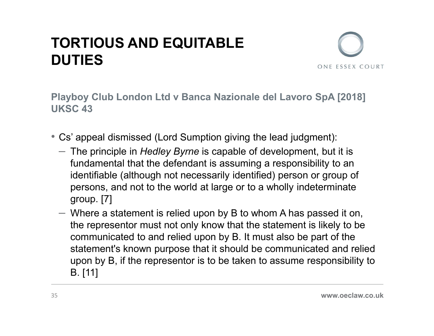### TORTIOUS AND EQUITABLE **DUTIES**

![](_page_34_Picture_1.jpeg)

**TORTIOUS AND EQUITABLE<br>DUTIES**<br>Playboy Club London Ltd v Banca Nazionale del Lavoro SpA [2018]<br>UKSC 43 UKSC 43

- Cs' appeal dismissed (Lord Sumption giving the lead judgment):
	- $-$  The principle in *Hedley Byrne* is capable of development, but it is fundamental that the defendant is assuming a responsibility to an identifiable (although not necessarily identified) person or group of persons, and not to the world at large or to a wholly indeterminate group. [7]
	- Where a statement is relied upon by B to whom A has passed it on, the representor must not only know that the statement is likely to be communicated to and relied upon by B. It must also be part of the statement's known purpose that it should be communicated and relied upon by B, if the representor is to be taken to assume responsibility to B. [11]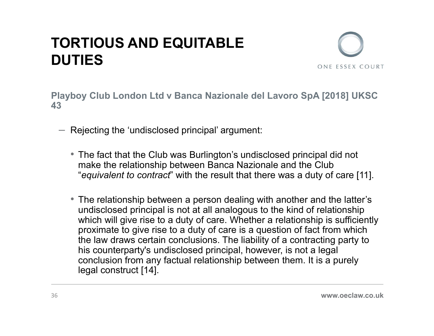### TORTIOUS AND EQUITABLE **DUTIES** TORTIOUS AND EQUITABLE<br>
DUTIES<br>
Playboy Club London Ltd v Banca Nazionale del Lavoro SpA [2018] UKSC<br>
- Rejecting the 'undisclosed principal' argument:

![](_page_35_Picture_1.jpeg)

43

- Rejecting the 'undisclosed principal' argument:
- The fact that the Club was Burlington's undisclosed principal did not **STIOUS AND EQUITABLE**<br>TES<br>py Club London Ltd v Banca Nazionale del Lavoro SpA [2018] UKSC<br>ejecting the 'undisclosed principal' argument:<br>The fact that the Club was Burlington's undisclosed principal did not<br>"equivalent to
	- The relationship between a person dealing with another and the latter's undisclosed principal is not at all analogous to the kind of relationship which will give rise to a duty of care. Whether a relationship is sufficiently proximate to give rise to a duty of care is a question of fact from which the law draws certain conclusions. The liability of a contracting party to his counterparty's undisclosed principal, however, is not a legal conclusion from any factual relationship between them. It is a purely legal construct [14].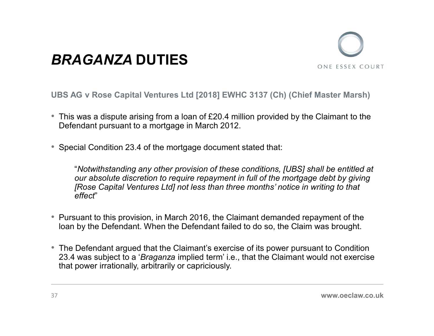![](_page_36_Picture_1.jpeg)

UBS AG v Rose Capital Ventures Ltd [2018] EWHC 3137 (Ch) (Chief Master Marsh)

- This was a dispute arising from a loan of £20.4 million provided by the Claimant to the Defendant pursuant to a mortgage in March 2012.
- Special Condition 23.4 of the mortgage document stated that:

"Notwithstanding any other provision of these conditions, [UBS] shall be entitled at our absolute discretion to require repayment in full of the mortgage debt by giving [Rose Capital Ventures Ltd] not less than three months' notice in writing to that effect"

- Pursuant to this provision, in March 2016, the Claimant demanded repayment of the loan by the Defendant. When the Defendant failed to do so, the Claim was brought.
- The Defendant argued that the Claimant's exercise of its power pursuant to Condition 23.4 was subject to a 'Braganza implied term' i.e., that the Claimant would not exercise that power irrationally, arbitrarily or capriciously.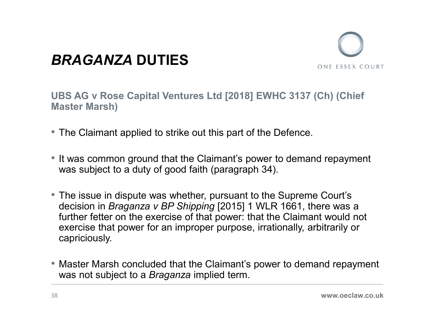![](_page_37_Picture_1.jpeg)

UBS AG v Rose Capital Ventures Ltd [2018] EWHC 3137 (Ch) (Chief Master Marsh)

- The Claimant applied to strike out this part of the Defence.
- It was common ground that the Claimant's power to demand repayment was subject to a duty of good faith (paragraph 34).
- The issue in dispute was whether, pursuant to the Supreme Court's decision in Braganza v BP Shipping [2015] 1 WLR 1661, there was a further fetter on the exercise of that power: that the Claimant would not exercise that power for an improper purpose, irrationally, arbitrarily or capriciously.
- Master Marsh concluded that the Claimant's power to demand repayment was not subject to a *Braganza* implied term.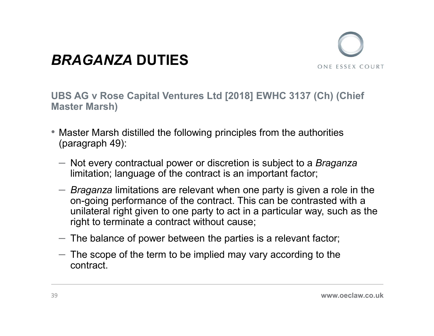![](_page_38_Picture_1.jpeg)

UBS AG v Rose Capital Ventures Ltd [2018] EWHC 3137 (Ch) (Chief Master Marsh)

- Master Marsh distilled the following principles from the authorities (paragraph 49):
	- Not every contractual power or discretion is subject to a *Braganza* limitation; language of the contract is an important factor;
	- $-$  Braganza limitations are relevant when one party is given a role in the on-going performance of the contract. This can be contrasted with a unilateral right given to one party to act in a particular way, such as the right to terminate a contract without cause;
	- The balance of power between the parties is a relevant factor;
	- $-$  The scope of the term to be implied may vary according to the contract.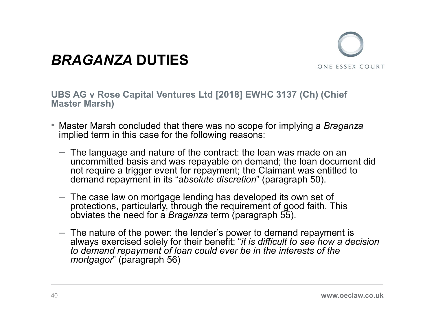![](_page_39_Picture_1.jpeg)

UBS AG v Rose Capital Ventures Ltd [2018] EWHC 3137 (Ch) (Chief Master Marsh)

- Master Marsh concluded that there was no scope for implying a *Braganza* implied term in this case for the following reasons:
	- The language and nature of the contract: the loan was made on an uncommitted basis and was repayable on demand; the loan document did not require a trigger event for repayment; the Claimant was entitled to demand repayment in its "absolute discretion" (paragraph 50).
	- $-$  The case law on mortgage lending has developed its own set of protections, particularly, through the requirement of good faith. This obviates the need for a Braganza term (paragraph 55).
	- $-$  The nature of the power: the lender's power to demand repayment is always exercised solely for their benefit; "it is difficult to see how a decision to demand repayment of loan could ever be in the interests of the mortgagor" (paragraph 56)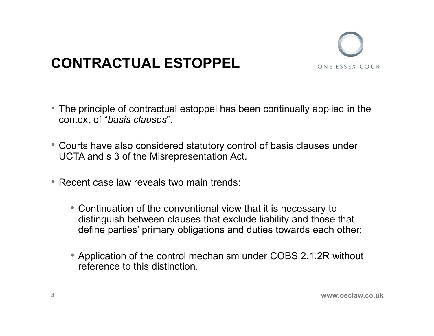![](_page_40_Picture_0.jpeg)

- The principle of contractual estoppel has been continually applied in the context of "basis clauses".
- Courts have also considered statutory control of basis clauses under UCTA and s 3 of the Misrepresentation Act.
- Recent case law reveals two main trends:
	- Continuation of the conventional view that it is necessary to distinguish between clauses that exclude liability and those that define parties' primary obligations and duties towards each other;
	- Application of the control mechanism under COBS 2.1.2R without reference to this distinction.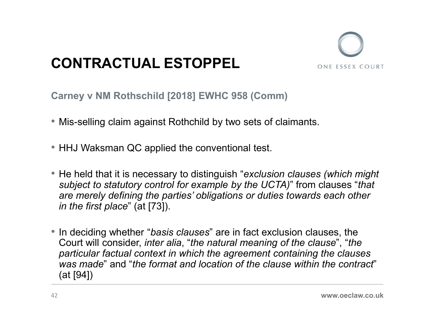![](_page_41_Picture_1.jpeg)

Carney v NM Rothschild [2018] EWHC 958 (Comm)

- Mis-selling claim against Rothchild by two sets of claimants.
- HHJ Waksman QC applied the conventional test.
- He held that it is necessary to distinguish "exclusion clauses (which might subject to statutory control for example by the UCTA)" from clauses "that are merely defining the parties' obligations or duties towards each other in the first place" (at [73]).
- In deciding whether "basis clauses" are in fact exclusion clauses, the Court will consider, inter alia, "the natural meaning of the clause", "the particular factual context in which the agreement containing the clauses was made" and "the format and location of the clause within the contract" (at [94])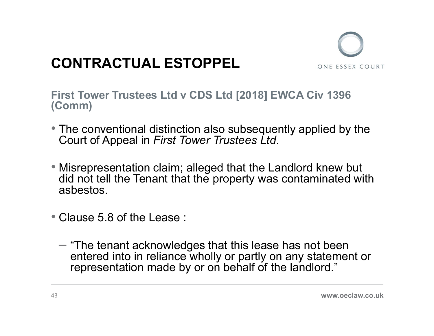![](_page_42_Picture_1.jpeg)

CONTRACTUAL ESTOPPEL<br>First Tower Trustees Ltd v CDS Ltd [2018] EWCA Civ 1396<br>(Comm)<br>• The conventional distinction also subsequently applied by the (Comm)

- The conventional distinction also subsequently applied by the Court of Appeal in First Tower Trustees Ltd.
- Misrepresentation claim; alleged that the Landlord knew but did not tell the Tenant that the property was contaminated with asbestos.
- 
- Clause 5.8 of the Lease :<br>– "The tenant acknowledges that this lease has not been entered into in reliance wholly or partly on any statement or representation made by or on behalf of the landlord."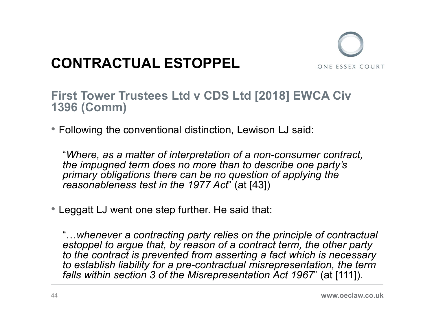![](_page_43_Picture_1.jpeg)

### First Tower Trustees Ltd v CDS Ltd [2018] EWCA Civ 1396 (Comm)

• Following the conventional distinction, Lewison LJ said:

"Where, as a matter of interpretation of a non-consumer contract, the impugned term does no more than to describe one party's primary obligations there can be no question of applying the reasonableness test in the 1977 Act" (at [43])

• Leggatt LJ went one step further. He said that:

"…whenever a contracting party relies on the principle of contractual estoppel to argue that, by reason of a contract term, the other party to the contract is prevented from asserting a fact which is necessary to establish liability for a pre-contractual misrepresentation, the term falls within section 3 of the Misrepresentation Act 1967" (at [111]).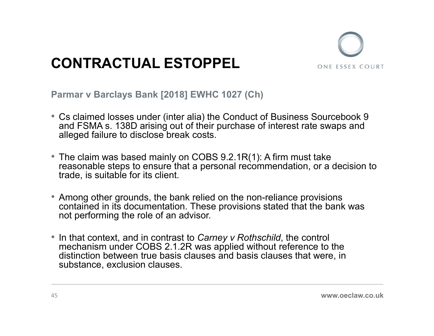![](_page_44_Picture_1.jpeg)

Parmar v Barclays Bank [2018] EWHC 1027 (Ch)

- Cs claimed losses under (inter alia) the Conduct of Business Sourcebook 9 and FSMA s. 138D arising out of their purchase of interest rate swaps and alleged failure to disclose break costs.
- The claim was based mainly on COBS 9.2.1R(1): A firm must take reasonable steps to ensure that a personal recommendation, or a decision to trade, is suitable for its client.
- Among other grounds, the bank relied on the non-reliance provisions contained in its documentation. These provisions stated that the bank was not performing the role of an advisor.
- In that context, and in contrast to Carney v Rothschild, the control mechanism under COBS 2.1.2R was applied without reference to the distinction between true basis clauses and basis clauses that were, in substance, exclusion clauses.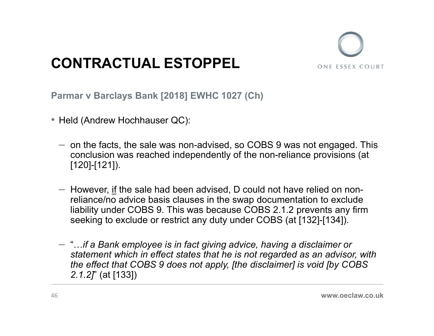![](_page_45_Picture_1.jpeg)

Parmar v Barclays Bank [2018] EWHC 1027 (Ch)

- 
- **CONTRACTUAL ESTOPPEL**<br>
 Held (Andrew Hochhauser QC):<br>
 Held (Andrew Hochhauser QC):<br>
 on the facts, the sale was non-advised, so COBS 9 was not engaged. This conclusion was reached independently of the non-reliance pr conclusion was reached independently of the non-reliance provisions (at
	- CONTRACTUAL ESTOPPEL<br>
	The same of the sale was non-advised, so COBS 9 was not engaged.<br>
	Held (Andrew Hochhauser QC):<br>
	 on the facts, the sale was non-advised, so COBS 9 was not engaged.<br>
	The sale had been advised, D could reliance/no advice basis clauses in the swap documentation to exclude liability under COBS 9. This was because COBS 2.1.2 prevents any firm seeking to exclude or restrict any duty under COBS (at [132]-[134]).
	- $-$  "... if a Bank employee is in fact giving advice, having a disclaimer or statement which in effect states that he is not regarded as an advisor, with the effect that COBS 9 does not apply, [the disclaimer] is void [by COBS 2.1.2]" (at [133])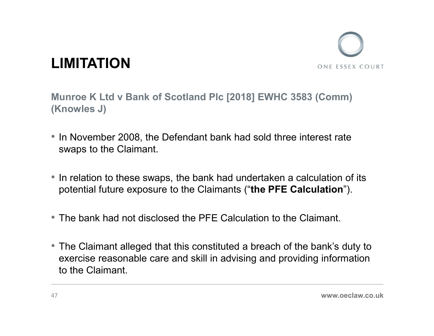![](_page_46_Picture_0.jpeg)

Munroe K Ltd v Bank of Scotland Plc [2018] EWHC 3583 (Comm) (Knowles J)

- In November 2008, the Defendant bank had sold three interest rate swaps to the Claimant.
- In relation to these swaps, the bank had undertaken a calculation of its potential future exposure to the Claimants ("the PFE Calculation").
- The bank had not disclosed the PFE Calculation to the Claimant.
- The Claimant alleged that this constituted a breach of the bank's duty to exercise reasonable care and skill in advising and providing information to the Claimant.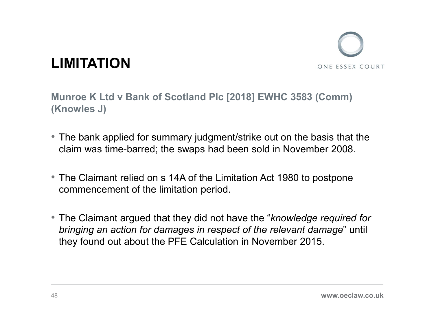![](_page_47_Picture_0.jpeg)

Munroe K Ltd v Bank of Scotland Plc [2018] EWHC 3583 (Comm) (Knowles J)

- The bank applied for summary judgment/strike out on the basis that the claim was time-barred; the swaps had been sold in November 2008.
- The Claimant relied on s 14A of the Limitation Act 1980 to postpone commencement of the limitation period.
- The Claimant argued that they did not have the "knowledge required for bringing an action for damages in respect of the relevant damage" until they found out about the PFE Calculation in November 2015.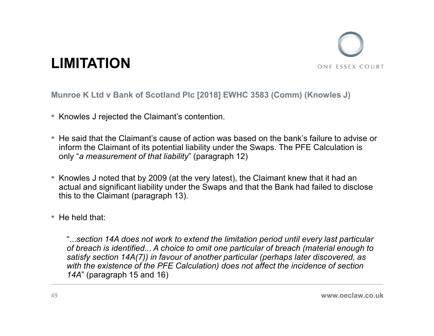![](_page_48_Picture_0.jpeg)

Munroe K Ltd v Bank of Scotland Plc [2018] EWHC 3583 (Comm) (Knowles J)

- Knowles J rejected the Claimant's contention.
- He said that the Claimant's cause of action was based on the bank's failure to advise or inform the Claimant of its potential liability under the Swaps. The PFE Calculation is only "a measurement of that liability" (paragraph 12)
- Knowles J noted that by 2009 (at the very latest), the Claimant knew that it had an actual and significant liability under the Swaps and that the Bank had failed to disclose this to the Claimant (paragraph 13).
- He held that:

"...section 14A does not work to extend the limitation period until every last particular of breach is identified... A choice to omit one particular of breach (material enough to satisfy section 14A(7)) in favour of another particular (perhaps later discovered, as with the existence of the PFE Calculation) does not affect the incidence of section 14A" (paragraph 15 and 16)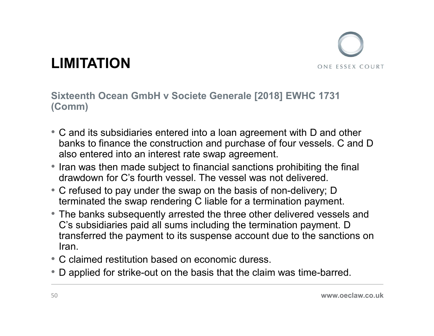**COMPATION**<br>Sixteenth Ocean GmbH v Societe Generale [2018] EWHC 1731<br>(Comm)<br>• C and its subsidiaries entered into a loan agreement with D and other (Comm)

- C and its subsidiaries entered into a loan agreement with D and other banks to finance the construction and purchase of four vessels. C and D also entered into an interest rate swap agreement.
- Iran was then made subject to financial sanctions prohibiting the final drawdown for C's fourth vessel. The vessel was not delivered.
- C refused to pay under the swap on the basis of non-delivery; D terminated the swap rendering C liable for a termination payment.
- The banks subsequently arrested the three other delivered vessels and C's subsidiaries paid all sums including the termination payment. D transferred the payment to its suspense account due to the sanctions on Iran.
- C claimed restitution based on economic duress.
- D applied for strike-out on the basis that the claim was time-barred.